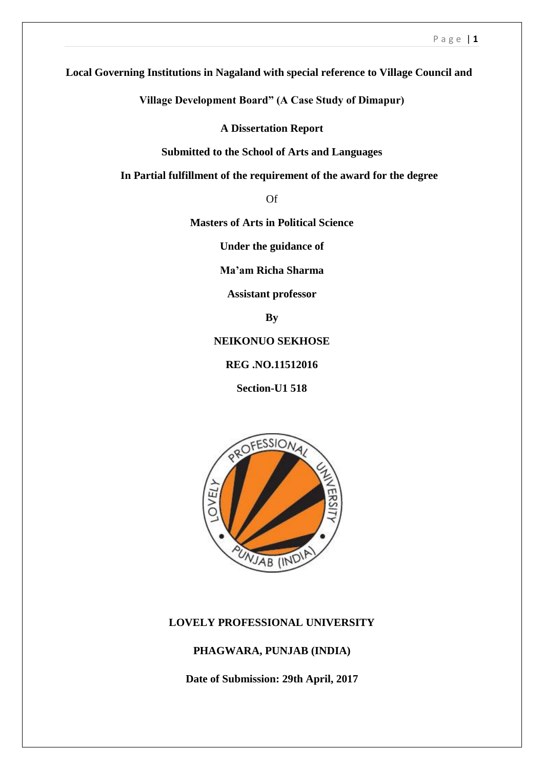**Local Governing Institutions in Nagaland with special reference to Village Council and**

**Village Development Board" (A Case Study of Dimapur)**

**A Dissertation Report**

**Submitted to the School of Arts and Languages**

 **In Partial fulfillment of the requirement of the award for the degree**

Of

**Masters of Arts in Political Science**

**Under the guidance of**

**Ma'am Richa Sharma**

**Assistant professor**

**By**

**NEIKONUO SEKHOSE**

**REG .NO.11512016**

**Section-U1 518**



### **LOVELY PROFESSIONAL UNIVERSITY**

### **PHAGWARA, PUNJAB (INDIA)**

**Date of Submission: 29th April, 2017**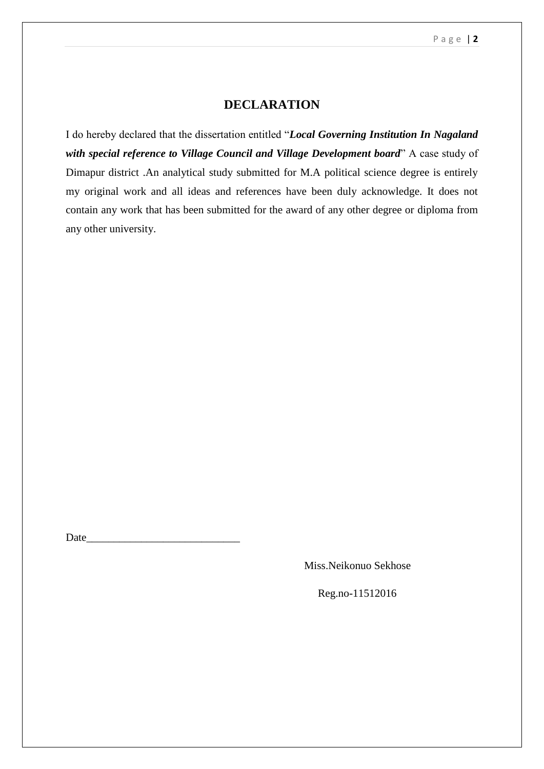## **DECLARATION**

I do hereby declared that the dissertation entitled "*Local Governing Institution In Nagaland with special reference to Village Council and Village Development board*" A case study of Dimapur district .An analytical study submitted for M.A political science degree is entirely my original work and all ideas and references have been duly acknowledge. It does not contain any work that has been submitted for the award of any other degree or diploma from any other university.

Date\_\_\_\_\_\_\_\_\_\_\_\_\_\_\_\_\_\_\_\_\_\_\_\_\_\_\_\_

Miss.Neikonuo Sekhose

Reg.no-11512016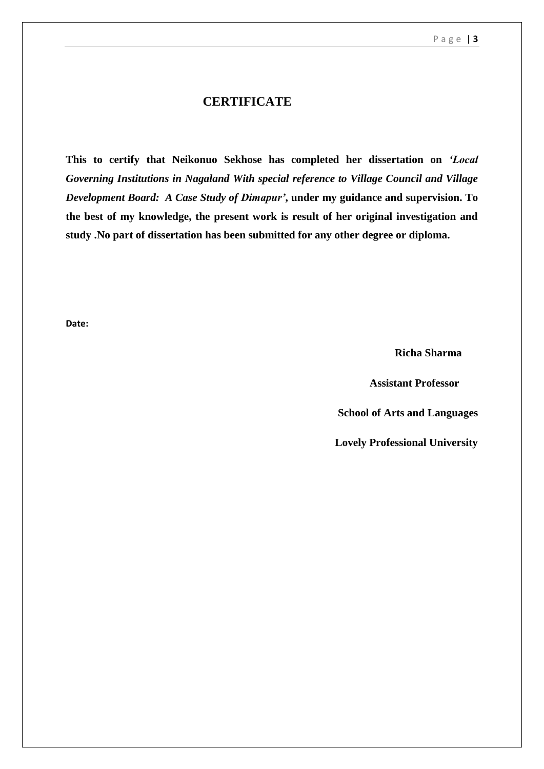## **CERTIFICATE**

**This to certify that Neikonuo Sekhose has completed her dissertation on** *'Local Governing Institutions in Nagaland With special reference to Village Council and Village Development Board: A Case Study of Dimapur'***, under my guidance and supervision. To the best of my knowledge, the present work is result of her original investigation and study .No part of dissertation has been submitted for any other degree or diploma.** 

**Date:**

 **Richa Sharma**

 **Assistant Professor**

 **School of Arts and Languages**

**Lovely Professional University**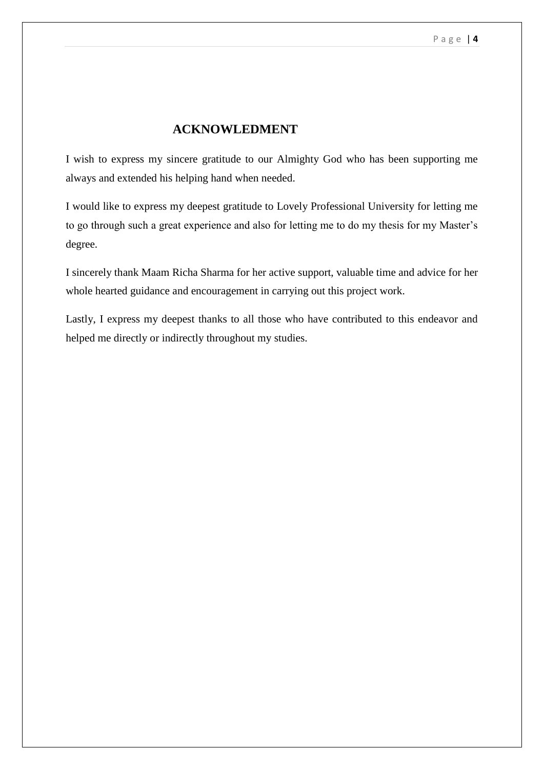# **ACKNOWLEDMENT**

I wish to express my sincere gratitude to our Almighty God who has been supporting me always and extended his helping hand when needed.

I would like to express my deepest gratitude to Lovely Professional University for letting me to go through such a great experience and also for letting me to do my thesis for my Master's degree.

I sincerely thank Maam Richa Sharma for her active support, valuable time and advice for her whole hearted guidance and encouragement in carrying out this project work.

Lastly, I express my deepest thanks to all those who have contributed to this endeavor and helped me directly or indirectly throughout my studies.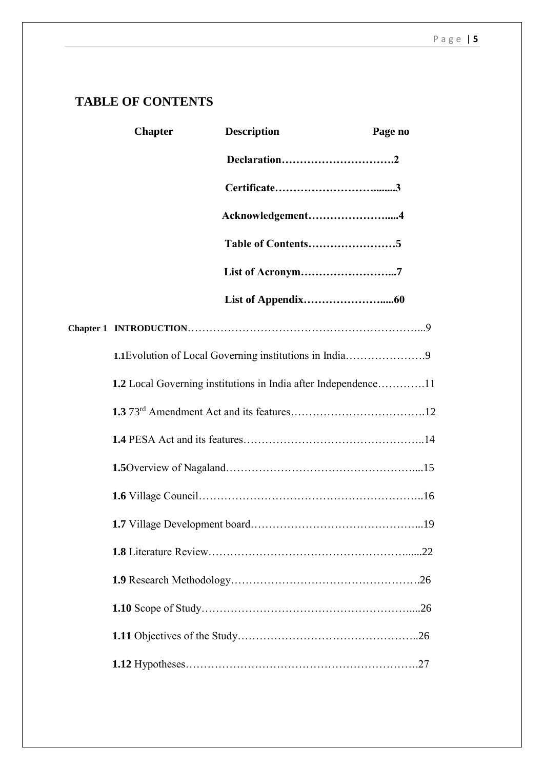# **TABLE OF CONTENTS**

| <b>Chapter</b> | <b>Description</b>                                             | Page no |
|----------------|----------------------------------------------------------------|---------|
|                |                                                                |         |
|                |                                                                |         |
|                | Acknowledgement4                                               |         |
|                |                                                                |         |
|                | List of Acronym7                                               |         |
|                |                                                                |         |
|                |                                                                |         |
|                |                                                                |         |
|                | 1.2 Local Governing institutions in India after Independence11 |         |
|                |                                                                |         |
|                |                                                                |         |
|                |                                                                |         |
|                |                                                                |         |
|                |                                                                |         |
|                |                                                                |         |
|                |                                                                |         |
|                |                                                                |         |
|                |                                                                |         |
|                |                                                                |         |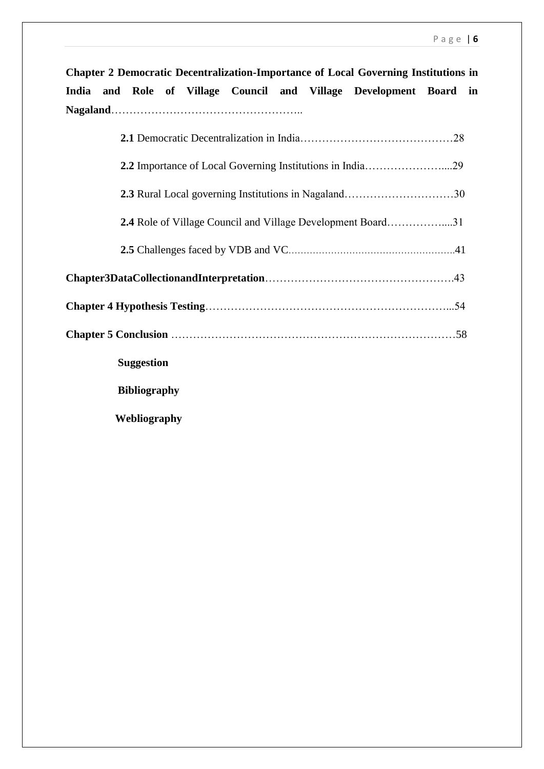**Chapter 2 Democratic Decentralization-Importance of Local Governing Institutions in India and Role of Village Council and Village Development Board in Nagaland**……………………………………………..

| <b>2.4</b> Role of Village Council and Village Development Board31 |  |
|--------------------------------------------------------------------|--|
|                                                                    |  |
|                                                                    |  |
|                                                                    |  |
|                                                                    |  |
| <b>Suggestion</b>                                                  |  |
| <b>Bibliography</b>                                                |  |
| Webliography                                                       |  |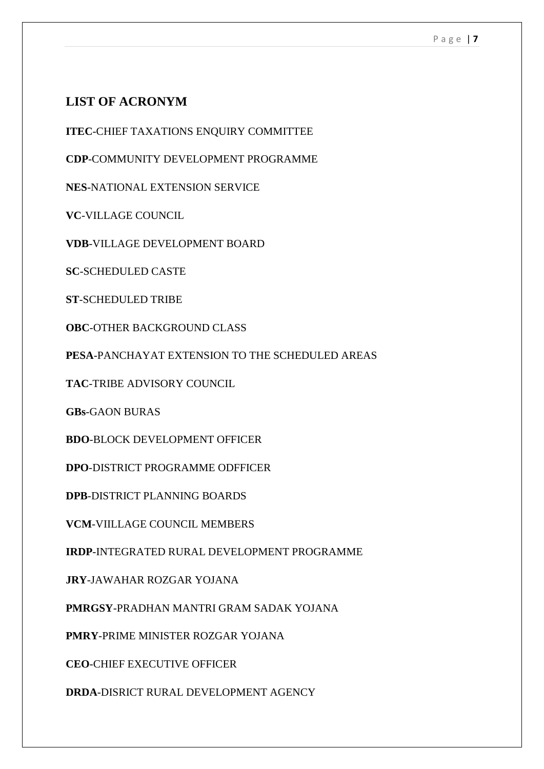# **LIST OF ACRONYM**

**ITEC**-CHIEF TAXATIONS ENQUIRY COMMITTEE

**CDP**-COMMUNITY DEVELOPMENT PROGRAMME

**NES**-NATIONAL EXTENSION SERVICE

**VC**-VILLAGE COUNCIL

**VDB**-VILLAGE DEVELOPMENT BOARD

**SC**-SCHEDULED CASTE

**ST**-SCHEDULED TRIBE

**OBC**-OTHER BACKGROUND CLASS

**PESA**-PANCHAYAT EXTENSION TO THE SCHEDULED AREAS

**TAC**-TRIBE ADVISORY COUNCIL

**GBs**-GAON BURAS

**BDO**-BLOCK DEVELOPMENT OFFICER

**DPO**-DISTRICT PROGRAMME ODFFICER

**DPB**-DISTRICT PLANNING BOARDS

**VCM**-VIILLAGE COUNCIL MEMBERS

**IRDP**-INTEGRATED RURAL DEVELOPMENT PROGRAMME

**JRY**-JAWAHAR ROZGAR YOJANA

**PMRGSY**-PRADHAN MANTRI GRAM SADAK YOJANA

**PMRY**-PRIME MINISTER ROZGAR YOJANA

**CEO**-CHIEF EXECUTIVE OFFICER

**DRDA**-DISRICT RURAL DEVELOPMENT AGENCY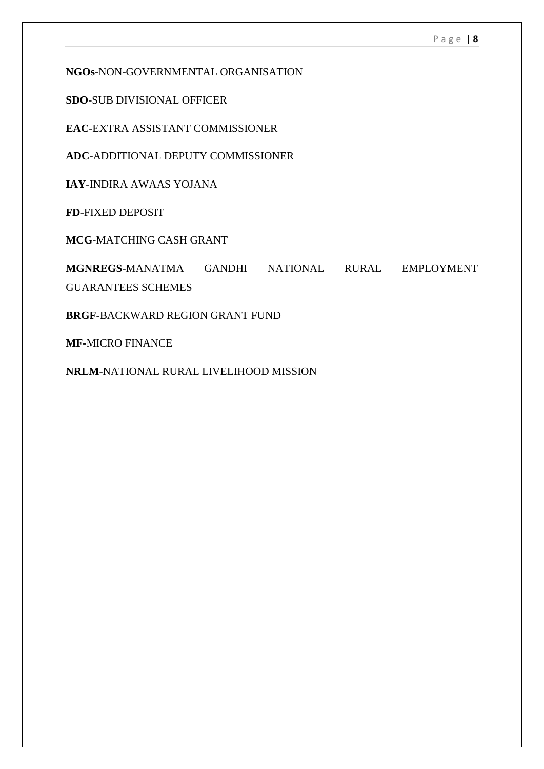**NGOs**-NON-GOVERNMENTAL ORGANISATION

**SDO**-SUB DIVISIONAL OFFICER

**EAC**-EXTRA ASSISTANT COMMISSIONER

**ADC**-ADDITIONAL DEPUTY COMMISSIONER

**IAY**-INDIRA AWAAS YOJANA

**FD**-FIXED DEPOSIT

**MCG**-MATCHING CASH GRANT

**MGNREGS**-MANATMA GANDHI NATIONAL RURAL EMPLOYMENT GUARANTEES SCHEMES

**BRGF-**BACKWARD REGION GRANT FUND

**MF-**MICRO FINANCE

**NRLM**-NATIONAL RURAL LIVELIHOOD MISSION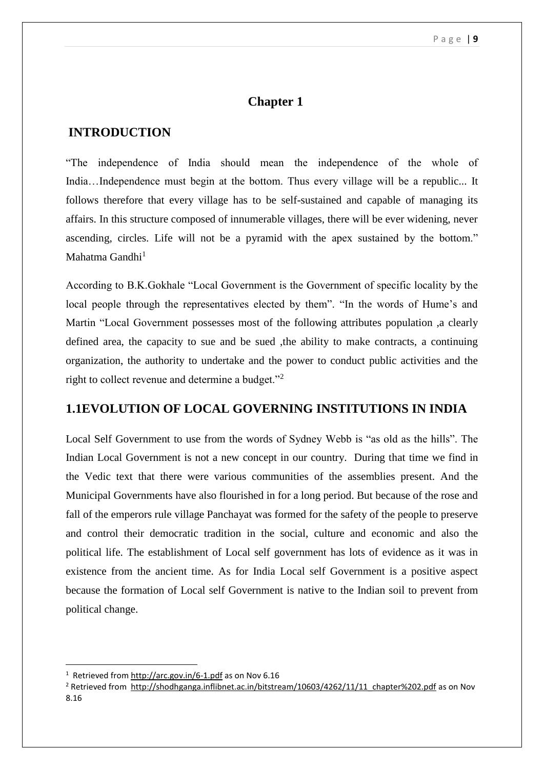# **Chapter 1**

# **INTRODUCTION**

"The independence of India should mean the independence of the whole of India...Independence must begin at the bottom. Thus every village will be a republic... It follows therefore that every village has to be self-sustained and capable of managing its affairs. In this structure composed of innumerable villages, there will be ever widening, never ascending, circles. Life will not be a pyramid with the apex sustained by the bottom." Mahatma Gandhi $<sup>1</sup>$ </sup>

According to B.K.Gokhale "Local Government is the Government of specific locality by the local people through the representatives elected by them". "In the words of Hume's and Martin "Local Government possesses most of the following attributes population ,a clearly defined area, the capacity to sue and be sued ,the ability to make contracts, a continuing organization, the authority to undertake and the power to conduct public activities and the right to collect revenue and determine a budget."<sup>2</sup>

## **1.1EVOLUTION OF LOCAL GOVERNING INSTITUTIONS IN INDIA**

Local Self Government to use from the words of Sydney Webb is "as old as the hills". The Indian Local Government is not a new concept in our country. During that time we find in the Vedic text that there were various communities of the assemblies present. And the Municipal Governments have also flourished in for a long period. But because of the rose and fall of the emperors rule village Panchayat was formed for the safety of the people to preserve and control their democratic tradition in the social, culture and economic and also the political life. The establishment of Local self government has lots of evidence as it was in existence from the ancient time. As for India Local self Government is a positive aspect because the formation of Local self Government is native to the Indian soil to prevent from political change.

<sup>&</sup>lt;sup>1</sup> Retrieved fro[m http://arc.gov.in/6-1.pdf](http://arc.gov.in/6-1.pdf) as on Nov 6.16

<sup>&</sup>lt;sup>2</sup> Retrieved from http://shodhganga.inflibnet.ac.in/bitstream/10603/4262/11/11 chapter%202.pdf as on Nov 8.16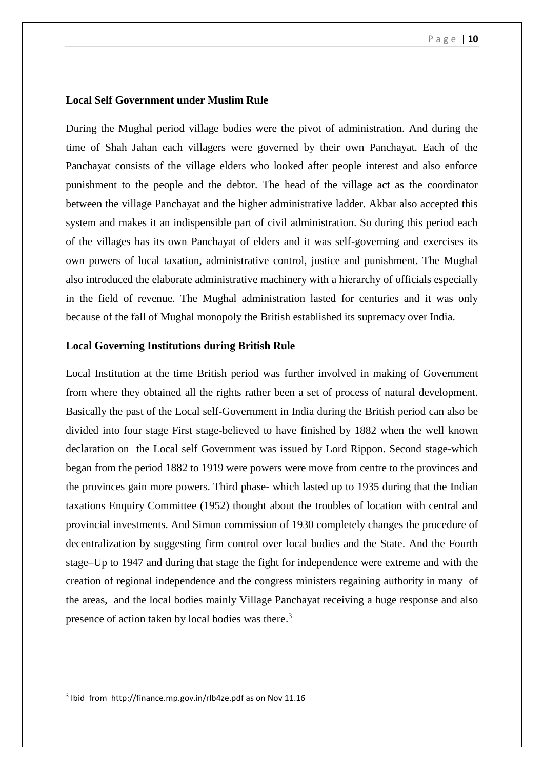### **Local Self Government under Muslim Rule**

During the Mughal period village bodies were the pivot of administration. And during the time of Shah Jahan each villagers were governed by their own Panchayat. Each of the Panchayat consists of the village elders who looked after people interest and also enforce punishment to the people and the debtor. The head of the village act as the coordinator between the village Panchayat and the higher administrative ladder. Akbar also accepted this system and makes it an indispensible part of civil administration. So during this period each of the villages has its own Panchayat of elders and it was self-governing and exercises its own powers of local taxation, administrative control, justice and punishment. The Mughal also introduced the elaborate administrative machinery with a hierarchy of officials especially in the field of revenue. The Mughal administration lasted for centuries and it was only because of the fall of Mughal monopoly the British established its supremacy over India.

### **Local Governing Institutions during British Rule**

Local Institution at the time British period was further involved in making of Government from where they obtained all the rights rather been a set of process of natural development. Basically the past of the Local self-Government in India during the British period can also be divided into four stage First stage-believed to have finished by 1882 when the well known declaration on the Local self Government was issued by Lord Rippon. Second stage-which began from the period 1882 to 1919 were powers were move from centre to the provinces and the provinces gain more powers. Third phase- which lasted up to 1935 during that the Indian taxations Enquiry Committee (1952) thought about the troubles of location with central and provincial investments. And Simon commission of 1930 completely changes the procedure of decentralization by suggesting firm control over local bodies and the State. And the Fourth stage–Up to 1947 and during that stage the fight for independence were extreme and with the creation of regional independence and the congress ministers regaining authority in many of the areas, and the local bodies mainly Village Panchayat receiving a huge response and also presence of action taken by local bodies was there.<sup>3</sup>

<sup>&</sup>lt;sup>3</sup> Ibid from<http://finance.mp.gov.in/rlb4ze.pdf> as on Nov 11.16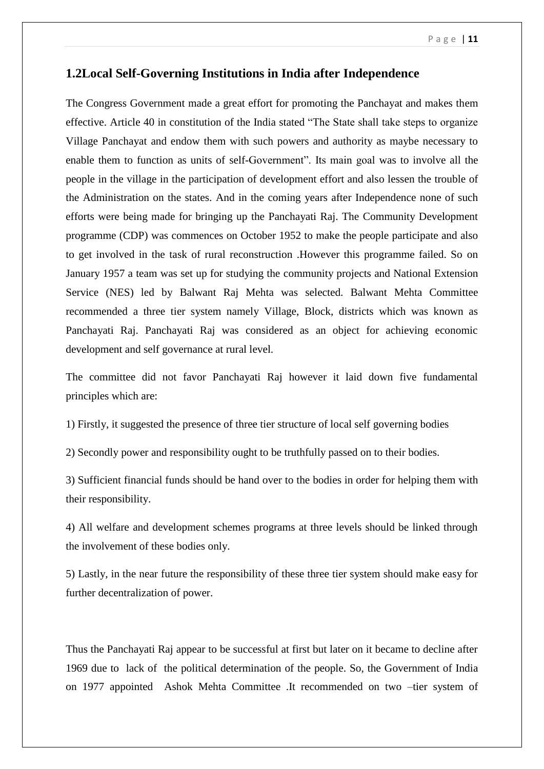## **1.2Local Self-Governing Institutions in India after Independence**

The Congress Government made a great effort for promoting the Panchayat and makes them effective. Article 40 in constitution of the India stated "The State shall take steps to organize Village Panchayat and endow them with such powers and authority as maybe necessary to enable them to function as units of self-Government". Its main goal was to involve all the people in the village in the participation of development effort and also lessen the trouble of the Administration on the states. And in the coming years after Independence none of such efforts were being made for bringing up the Panchayati Raj. The Community Development programme (CDP) was commences on October 1952 to make the people participate and also to get involved in the task of rural reconstruction .However this programme failed. So on January 1957 a team was set up for studying the community projects and National Extension Service (NES) led by Balwant Raj Mehta was selected. Balwant Mehta Committee recommended a three tier system namely Village, Block, districts which was known as Panchayati Raj. Panchayati Raj was considered as an object for achieving economic development and self governance at rural level.

The committee did not favor Panchayati Raj however it laid down five fundamental principles which are:

1) Firstly, it suggested the presence of three tier structure of local self governing bodies

2) Secondly power and responsibility ought to be truthfully passed on to their bodies.

3) Sufficient financial funds should be hand over to the bodies in order for helping them with their responsibility.

4) All welfare and development schemes programs at three levels should be linked through the involvement of these bodies only.

5) Lastly, in the near future the responsibility of these three tier system should make easy for further decentralization of power.

Thus the Panchayati Raj appear to be successful at first but later on it became to decline after 1969 due to lack of the political determination of the people. So, the Government of India on 1977 appointed Ashok Mehta Committee .It recommended on two –tier system of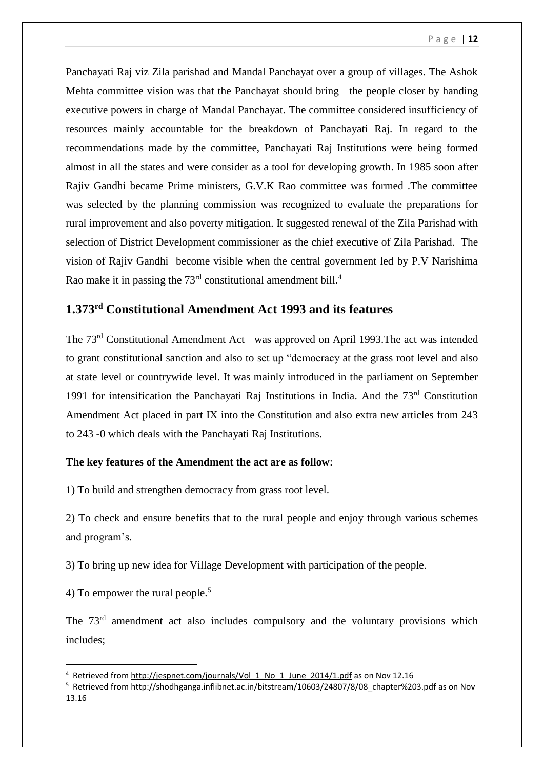Panchayati Raj viz Zila parishad and Mandal Panchayat over a group of villages. The Ashok Mehta committee vision was that the Panchayat should bring the people closer by handing executive powers in charge of Mandal Panchayat. The committee considered insufficiency of resources mainly accountable for the breakdown of Panchayati Raj. In regard to the recommendations made by the committee, Panchayati Raj Institutions were being formed almost in all the states and were consider as a tool for developing growth. In 1985 soon after Rajiv Gandhi became Prime ministers, G.V.K Rao committee was formed .The committee was selected by the planning commission was recognized to evaluate the preparations for rural improvement and also poverty mitigation. It suggested renewal of the Zila Parishad with selection of District Development commissioner as the chief executive of Zila Parishad. The vision of Rajiv Gandhi become visible when the central government led by P.V Narishima Rao make it in passing the  $73<sup>rd</sup>$  constitutional amendment bill.<sup>4</sup>

# **1.373rd Constitutional Amendment Act 1993 and its features**

The 73rd Constitutional Amendment Act was approved on April 1993.The act was intended to grant constitutional sanction and also to set up "democracy at the grass root level and also at state level or countrywide level. It was mainly introduced in the parliament on September 1991 for intensification the Panchayati Raj Institutions in India. And the 73rd Constitution Amendment Act placed in part IX into the Constitution and also extra new articles from 243 to 243 -0 which deals with the Panchayati Raj Institutions.

## **The key features of the Amendment the act are as follow**:

1) To build and strengthen democracy from grass root level.

2) To check and ensure benefits that to the rural people and enjoy through various schemes and program's.

3) To bring up new idea for Village Development with participation of the people.

4) To empower the rural people.<sup>5</sup>

**.** 

The 73<sup>rd</sup> amendment act also includes compulsory and the voluntary provisions which includes;

<sup>&</sup>lt;sup>4</sup> Retrieved fro[m http://jespnet.com/journals/Vol\\_1\\_No\\_1\\_June\\_2014/1.pdf](http://jespnet.com/journals/Vol_1_No_1_June_2014/1.pdf) as on Nov 12.16

<sup>&</sup>lt;sup>5</sup> Retrieved from http://shodhganga.inflibnet.ac.in/bitstream/10603/24807/8/08 chapter%203.pdf as on Nov 13.16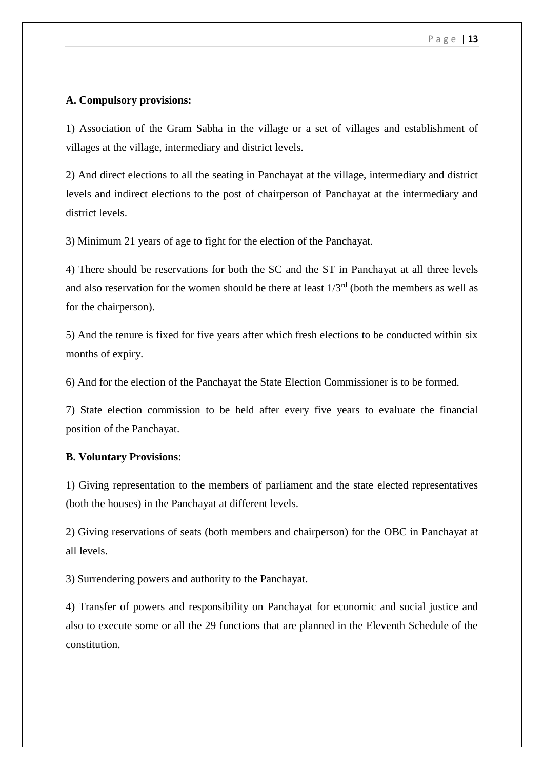### **A. Compulsory provisions:**

1) Association of the Gram Sabha in the village or a set of villages and establishment of villages at the village, intermediary and district levels.

2) And direct elections to all the seating in Panchayat at the village, intermediary and district levels and indirect elections to the post of chairperson of Panchayat at the intermediary and district levels.

3) Minimum 21 years of age to fight for the election of the Panchayat.

4) There should be reservations for both the SC and the ST in Panchayat at all three levels and also reservation for the women should be there at least  $1/3<sup>rd</sup>$  (both the members as well as for the chairperson).

5) And the tenure is fixed for five years after which fresh elections to be conducted within six months of expiry.

6) And for the election of the Panchayat the State Election Commissioner is to be formed.

7) State election commission to be held after every five years to evaluate the financial position of the Panchayat.

### **B. Voluntary Provisions**:

1) Giving representation to the members of parliament and the state elected representatives (both the houses) in the Panchayat at different levels.

2) Giving reservations of seats (both members and chairperson) for the OBC in Panchayat at all levels.

3) Surrendering powers and authority to the Panchayat.

4) Transfer of powers and responsibility on Panchayat for economic and social justice and also to execute some or all the 29 functions that are planned in the Eleventh Schedule of the constitution.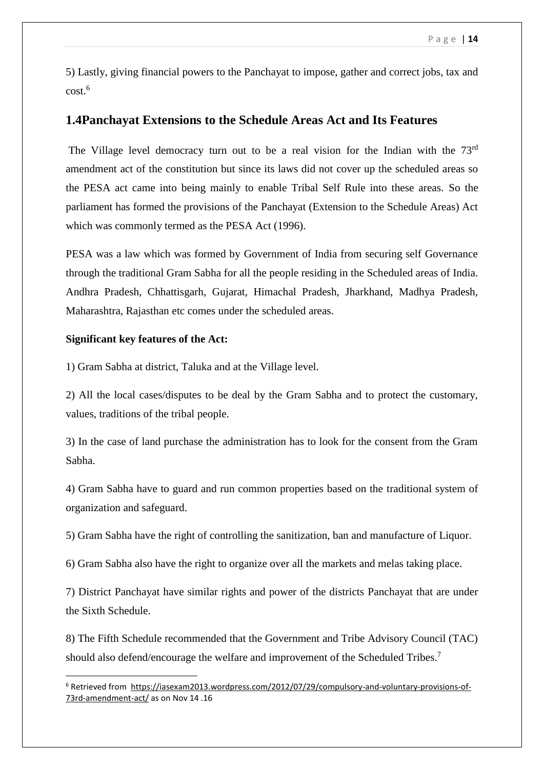5) Lastly, giving financial powers to the Panchayat to impose, gather and correct jobs, tax and cost. 6

## **1.4Panchayat Extensions to the Schedule Areas Act and Its Features**

The Village level democracy turn out to be a real vision for the Indian with the 73<sup>rd</sup> amendment act of the constitution but since its laws did not cover up the scheduled areas so the PESA act came into being mainly to enable Tribal Self Rule into these areas. So the parliament has formed the provisions of the Panchayat (Extension to the Schedule Areas) Act which was commonly termed as the PESA Act (1996).

PESA was a law which was formed by Government of India from securing self Governance through the traditional Gram Sabha for all the people residing in the Scheduled areas of India. Andhra Pradesh, Chhattisgarh, Gujarat, Himachal Pradesh, Jharkhand, Madhya Pradesh, Maharashtra, Rajasthan etc comes under the scheduled areas.

### **Significant key features of the Act:**

1

1) Gram Sabha at district, Taluka and at the Village level.

2) All the local cases/disputes to be deal by the Gram Sabha and to protect the customary, values, traditions of the tribal people.

3) In the case of land purchase the administration has to look for the consent from the Gram Sabha.

4) Gram Sabha have to guard and run common properties based on the traditional system of organization and safeguard.

5) Gram Sabha have the right of controlling the sanitization, ban and manufacture of Liquor.

6) Gram Sabha also have the right to organize over all the markets and melas taking place.

7) District Panchayat have similar rights and power of the districts Panchayat that are under the Sixth Schedule.

8) The Fifth Schedule recommended that the Government and Tribe Advisory Council (TAC) should also defend/encourage the welfare and improvement of the Scheduled Tribes.<sup>7</sup>

<sup>6</sup> Retrieved from [https://iasexam2013.wordpress.com/2012/07/29/compulsory-and-voluntary-provisions-of-](https://iasexam2013.wordpress.com/2012/07/29/compulsory-and-voluntary-provisions-of-73rd-amendment-act/)[73rd-amendment-act/](https://iasexam2013.wordpress.com/2012/07/29/compulsory-and-voluntary-provisions-of-73rd-amendment-act/) as on Nov 14 .16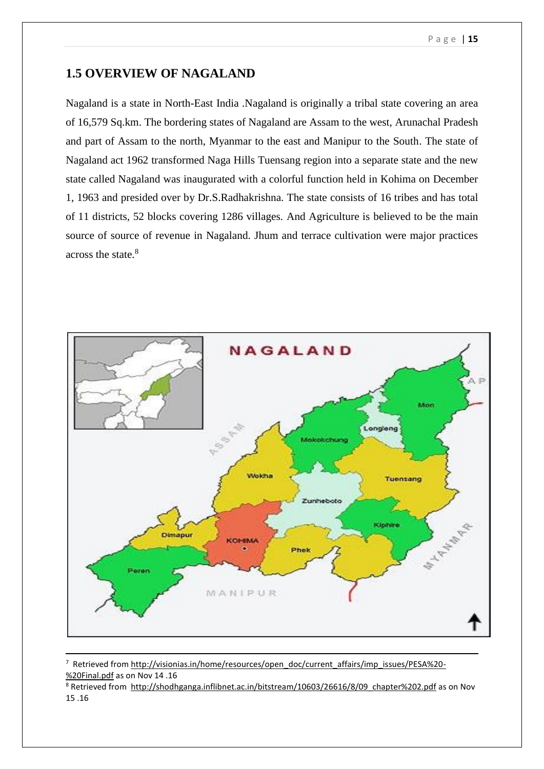## **1.5 OVERVIEW OF NAGALAND**

Nagaland is a state in North-East India .Nagaland is originally a tribal state covering an area of 16,579 Sq.km. The bordering states of Nagaland are Assam to the west, Arunachal Pradesh and part of Assam to the north, Myanmar to the east and Manipur to the South. The state of Nagaland act 1962 transformed Naga Hills Tuensang region into a separate state and the new state called Nagaland was inaugurated with a colorful function held in Kohima on December 1, 1963 and presided over by Dr.S.Radhakrishna. The state consists of 16 tribes and has total of 11 districts, 52 blocks covering 1286 villages. And Agriculture is believed to be the main source of source of revenue in Nagaland. Jhum and terrace cultivation were major practices across the state  $8<sup>8</sup>$ 



<sup>&</sup>lt;sup>7</sup> Retrieved fro[m http://visionias.in/home/resources/open\\_doc/current\\_affairs/imp\\_issues/PESA%20-](http://visionias.in/home/resources/open_doc/current_affairs/imp_issues/PESA%20-%20Final.pdf) [%20Final.pdf](http://visionias.in/home/resources/open_doc/current_affairs/imp_issues/PESA%20-%20Final.pdf) as on Nov 14 .16

<sup>8</sup> Retrieved from [http://shodhganga.inflibnet.ac.in/bitstream/10603/26616/8/09\\_chapter%202.pdf](http://shodhganga.inflibnet.ac.in/bitstream/10603/26616/8/09_chapter%202.pdf) as on Nov 15 .16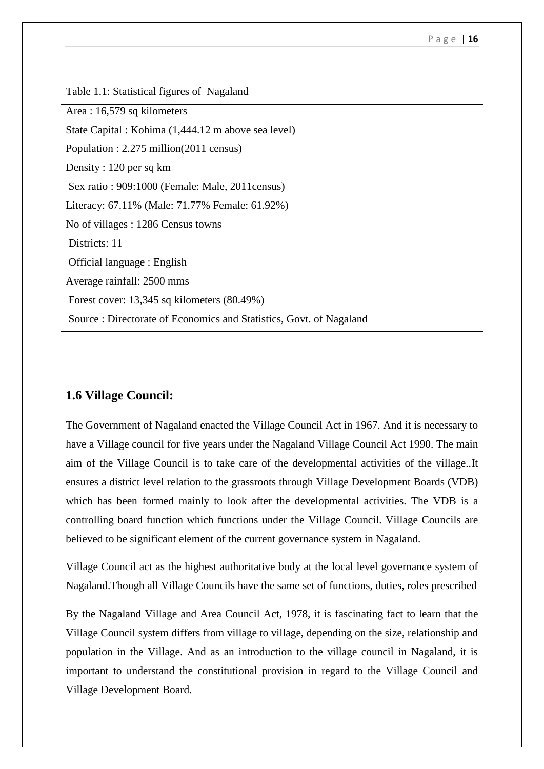| Table 1.1: Statistical figures of Nagaland                          |  |  |  |
|---------------------------------------------------------------------|--|--|--|
| Area: 16,579 sq kilometers                                          |  |  |  |
| State Capital : Kohima (1,444.12 m above sea level)                 |  |  |  |
| Population : $2.275$ million(2011 census)                           |  |  |  |
| Density: 120 per sq km                                              |  |  |  |
| Sex ratio : 909:1000 (Female: Male, 2011 census)                    |  |  |  |
| Literacy: 67.11% (Male: 71.77% Female: 61.92%)                      |  |  |  |
| No of villages : 1286 Census towns                                  |  |  |  |
| Districts: 11                                                       |  |  |  |
| Official language : English                                         |  |  |  |
| Average rainfall: 2500 mms                                          |  |  |  |
| Forest cover: $13,345$ sq kilometers $(80.49\%)$                    |  |  |  |
| Source : Directorate of Economics and Statistics, Govt. of Nagaland |  |  |  |

## **1.6 Village Council:**

The Government of Nagaland enacted the Village Council Act in 1967. And it is necessary to have a Village council for five years under the Nagaland Village Council Act 1990. The main aim of the Village Council is to take care of the developmental activities of the village..It ensures a district level relation to the grassroots through Village Development Boards (VDB) which has been formed mainly to look after the developmental activities. The VDB is a controlling board function which functions under the Village Council. Village Councils are believed to be significant element of the current governance system in Nagaland.

Village Council act as the highest authoritative body at the local level governance system of Nagaland.Though all Village Councils have the same set of functions, duties, roles prescribed

By the Nagaland Village and Area Council Act, 1978, it is fascinating fact to learn that the Village Council system differs from village to village, depending on the size, relationship and population in the Village. And as an introduction to the village council in Nagaland, it is important to understand the constitutional provision in regard to the Village Council and Village Development Board.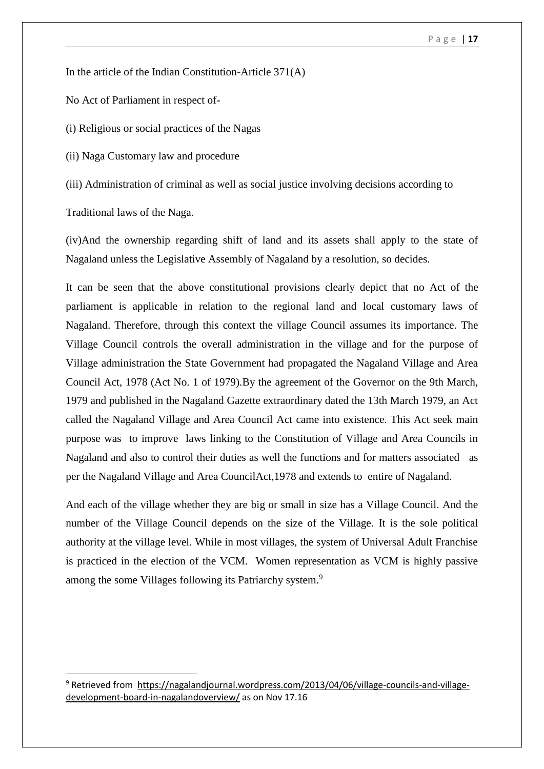In the article of the Indian Constitution-Article 371(A)

No Act of Parliament in respect of-

(i) Religious or social practices of the Nagas

(ii) Naga Customary law and procedure

(iii) Administration of criminal as well as social justice involving decisions according to

Traditional laws of the Naga.

**.** 

(iv)And the ownership regarding shift of land and its assets shall apply to the state of Nagaland unless the Legislative Assembly of Nagaland by a resolution, so decides.

It can be seen that the above constitutional provisions clearly depict that no Act of the parliament is applicable in relation to the regional land and local customary laws of Nagaland. Therefore, through this context the village Council assumes its importance. The Village Council controls the overall administration in the village and for the purpose of Village administration the State Government had propagated the Nagaland Village and Area Council Act, 1978 (Act No. 1 of 1979).By the agreement of the Governor on the 9th March, 1979 and published in the Nagaland Gazette extraordinary dated the 13th March 1979, an Act called the Nagaland Village and Area Council Act came into existence. This Act seek main purpose was to improve laws linking to the Constitution of Village and Area Councils in Nagaland and also to control their duties as well the functions and for matters associated as per the Nagaland Village and Area CouncilAct,1978 and extends to entire of Nagaland.

And each of the village whether they are big or small in size has a Village Council. And the number of the Village Council depends on the size of the Village. It is the sole political authority at the village level. While in most villages, the system of Universal Adult Franchise is practiced in the election of the VCM. Women representation as VCM is highly passive among the some Villages following its Patriarchy system.<sup>9</sup>

<sup>9</sup> Retrieved from [https://nagalandjournal.wordpress.com/2013/04/06/village-councils-and-village](https://nagalandjournal.wordpress.com/2013/04/06/village-councils-and-village-development-board-in-nagalandoverview/)[development-board-in-nagalandoverview/](https://nagalandjournal.wordpress.com/2013/04/06/village-councils-and-village-development-board-in-nagalandoverview/) as on Nov 17.16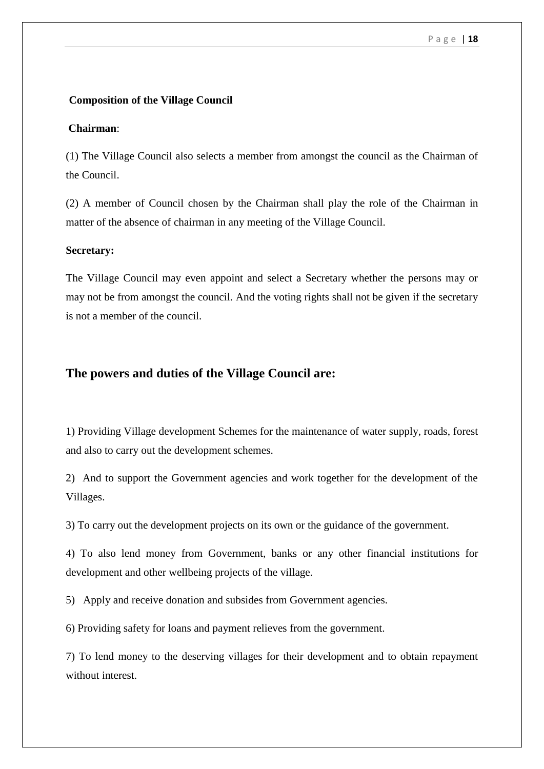### **Composition of the Village Council**

### **Chairman**:

(1) The Village Council also selects a member from amongst the council as the Chairman of the Council.

(2) A member of Council chosen by the Chairman shall play the role of the Chairman in matter of the absence of chairman in any meeting of the Village Council.

#### **Secretary:**

The Village Council may even appoint and select a Secretary whether the persons may or may not be from amongst the council. And the voting rights shall not be given if the secretary is not a member of the council.

### **The powers and duties of the Village Council are:**

1) Providing Village development Schemes for the maintenance of water supply, roads, forest and also to carry out the development schemes.

2) And to support the Government agencies and work together for the development of the Villages.

3) To carry out the development projects on its own or the guidance of the government.

4) To also lend money from Government, banks or any other financial institutions for development and other wellbeing projects of the village.

5) Apply and receive donation and subsides from Government agencies.

6) Providing safety for loans and payment relieves from the government.

7) To lend money to the deserving villages for their development and to obtain repayment without interest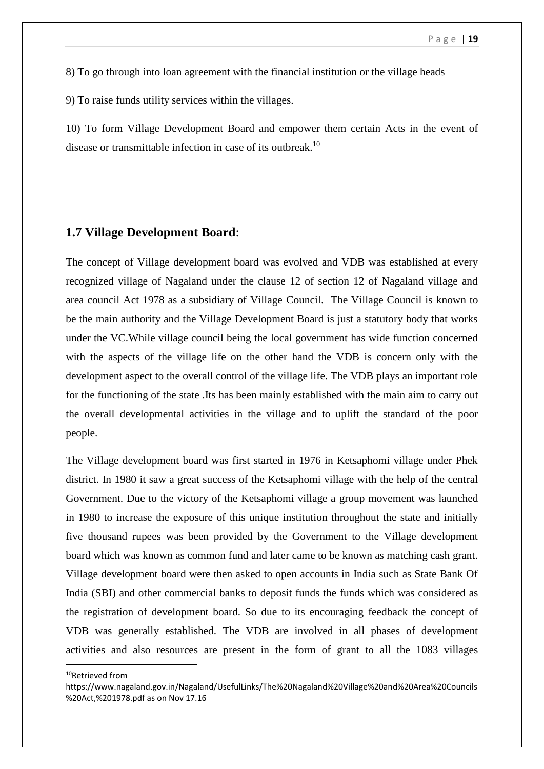8) To go through into loan agreement with the financial institution or the village heads

9) To raise funds utility services within the villages.

10) To form Village Development Board and empower them certain Acts in the event of disease or transmittable infection in case of its outbreak.<sup>10</sup>

### **1.7 Village Development Board**:

The concept of Village development board was evolved and VDB was established at every recognized village of Nagaland under the clause 12 of section 12 of Nagaland village and area council Act 1978 as a subsidiary of Village Council. The Village Council is known to be the main authority and the Village Development Board is just a statutory body that works under the VC.While village council being the local government has wide function concerned with the aspects of the village life on the other hand the VDB is concern only with the development aspect to the overall control of the village life. The VDB plays an important role for the functioning of the state .Its has been mainly established with the main aim to carry out the overall developmental activities in the village and to uplift the standard of the poor people.

The Village development board was first started in 1976 in Ketsaphomi village under Phek district. In 1980 it saw a great success of the Ketsaphomi village with the help of the central Government. Due to the victory of the Ketsaphomi village a group movement was launched in 1980 to increase the exposure of this unique institution throughout the state and initially five thousand rupees was been provided by the Government to the Village development board which was known as common fund and later came to be known as matching cash grant. Village development board were then asked to open accounts in India such as State Bank Of India (SBI) and other commercial banks to deposit funds the funds which was considered as the registration of development board. So due to its encouraging feedback the concept of VDB was generally established. The VDB are involved in all phases of development activities and also resources are present in the form of grant to all the 1083 villages

<sup>10</sup>Retrieved from

[https://www.nagaland.gov.in/Nagaland/UsefulLinks/The%20Nagaland%20Village%20and%20Area%20Councils](https://www.nagaland.gov.in/Nagaland/UsefulLinks/The%20Nagaland%20Village%20and%20Area%20Councils%20Act,%201978.pdf) [%20Act,%201978.pdf](https://www.nagaland.gov.in/Nagaland/UsefulLinks/The%20Nagaland%20Village%20and%20Area%20Councils%20Act,%201978.pdf) as on Nov 17.16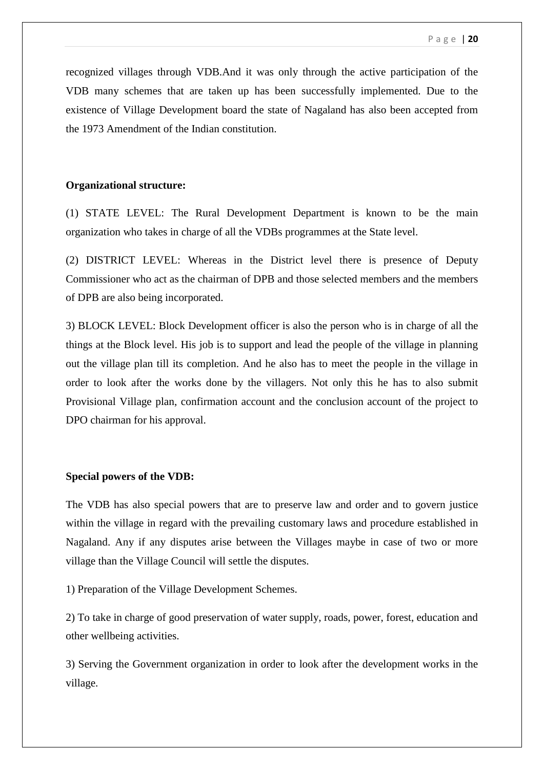recognized villages through VDB.And it was only through the active participation of the VDB many schemes that are taken up has been successfully implemented. Due to the existence of Village Development board the state of Nagaland has also been accepted from the 1973 Amendment of the Indian constitution.

### **Organizational structure:**

(1) STATE LEVEL: The Rural Development Department is known to be the main organization who takes in charge of all the VDBs programmes at the State level.

(2) DISTRICT LEVEL: Whereas in the District level there is presence of Deputy Commissioner who act as the chairman of DPB and those selected members and the members of DPB are also being incorporated.

3) BLOCK LEVEL: Block Development officer is also the person who is in charge of all the things at the Block level. His job is to support and lead the people of the village in planning out the village plan till its completion. And he also has to meet the people in the village in order to look after the works done by the villagers. Not only this he has to also submit Provisional Village plan, confirmation account and the conclusion account of the project to DPO chairman for his approval.

### **Special powers of the VDB:**

The VDB has also special powers that are to preserve law and order and to govern justice within the village in regard with the prevailing customary laws and procedure established in Nagaland. Any if any disputes arise between the Villages maybe in case of two or more village than the Village Council will settle the disputes.

1) Preparation of the Village Development Schemes.

2) To take in charge of good preservation of water supply, roads, power, forest, education and other wellbeing activities.

3) Serving the Government organization in order to look after the development works in the village.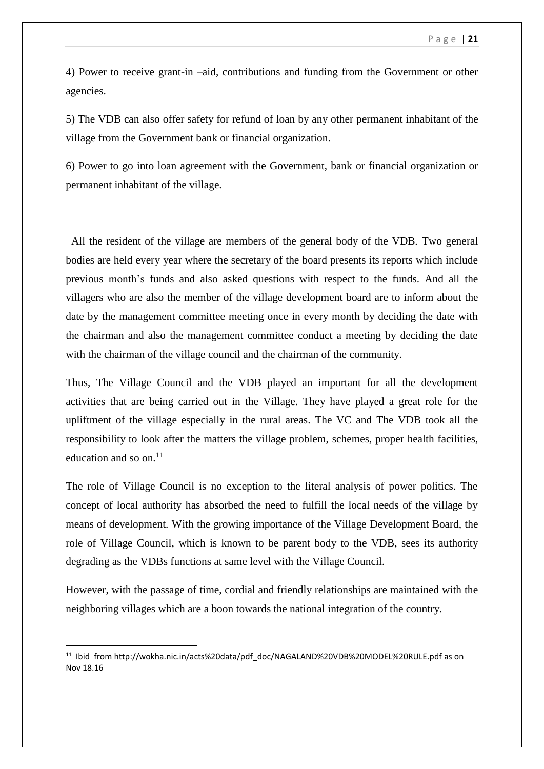4) Power to receive grant-in –aid, contributions and funding from the Government or other agencies.

5) The VDB can also offer safety for refund of loan by any other permanent inhabitant of the village from the Government bank or financial organization.

6) Power to go into loan agreement with the Government, bank or financial organization or permanent inhabitant of the village.

 All the resident of the village are members of the general body of the VDB. Two general bodies are held every year where the secretary of the board presents its reports which include previous month's funds and also asked questions with respect to the funds. And all the villagers who are also the member of the village development board are to inform about the date by the management committee meeting once in every month by deciding the date with the chairman and also the management committee conduct a meeting by deciding the date with the chairman of the village council and the chairman of the community.

Thus, The Village Council and the VDB played an important for all the development activities that are being carried out in the Village. They have played a great role for the upliftment of the village especially in the rural areas. The VC and The VDB took all the responsibility to look after the matters the village problem, schemes, proper health facilities, education and so on. $^{11}$ 

The role of Village Council is no exception to the literal analysis of power politics. The concept of local authority has absorbed the need to fulfill the local needs of the village by means of development. With the growing importance of the Village Development Board, the role of Village Council, which is known to be parent body to the VDB, sees its authority degrading as the VDBs functions at same level with the Village Council.

However, with the passage of time, cordial and friendly relationships are maintained with the neighboring villages which are a boon towards the national integration of the country.

<sup>&</sup>lt;sup>11</sup> Ibid from [http://wokha.nic.in/acts%20data/pdf\\_doc/NAGALAND%20VDB%20MODEL%20RULE.pdf](http://wokha.nic.in/acts%20data/pdf_doc/NAGALAND%20VDB%20MODEL%20RULE.pdf) as on Nov 18.16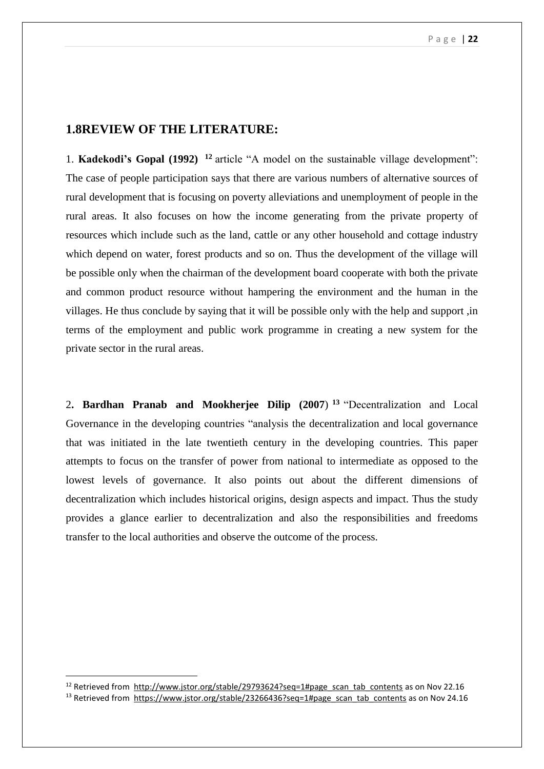## **1.8REVIEW OF THE LITERATURE:**

1. **Kadekodi's Gopal (1992) <sup>12</sup>** article "A model on the sustainable village development": The case of people participation says that there are various numbers of alternative sources of rural development that is focusing on poverty alleviations and unemployment of people in the rural areas. It also focuses on how the income generating from the private property of resources which include such as the land, cattle or any other household and cottage industry which depend on water, forest products and so on. Thus the development of the village will be possible only when the chairman of the development board cooperate with both the private and common product resource without hampering the environment and the human in the villages. He thus conclude by saying that it will be possible only with the help and support ,in terms of the employment and public work programme in creating a new system for the private sector in the rural areas.

2**. Bardhan Pranab and Mookherjee Dilip (2007**) **<sup>13</sup>** "Decentralization and Local Governance in the developing countries "analysis the decentralization and local governance that was initiated in the late twentieth century in the developing countries. This paper attempts to focus on the transfer of power from national to intermediate as opposed to the lowest levels of governance. It also points out about the different dimensions of decentralization which includes historical origins, design aspects and impact. Thus the study provides a glance earlier to decentralization and also the responsibilities and freedoms transfer to the local authorities and observe the outcome of the process.

1

<sup>&</sup>lt;sup>12</sup> Retrieved from [http://www.jstor.org/stable/29793624?seq=1#page\\_scan\\_tab\\_contents](http://www.jstor.org/stable/29793624?seq=1#page_scan_tab_contents) as on Nov 22.16

<sup>&</sup>lt;sup>13</sup> Retrieved from [https://www.jstor.org/stable/23266436?seq=1#page\\_scan\\_tab\\_contents](https://www.jstor.org/stable/23266436?seq=1#page_scan_tab_contents) as on Nov 24.16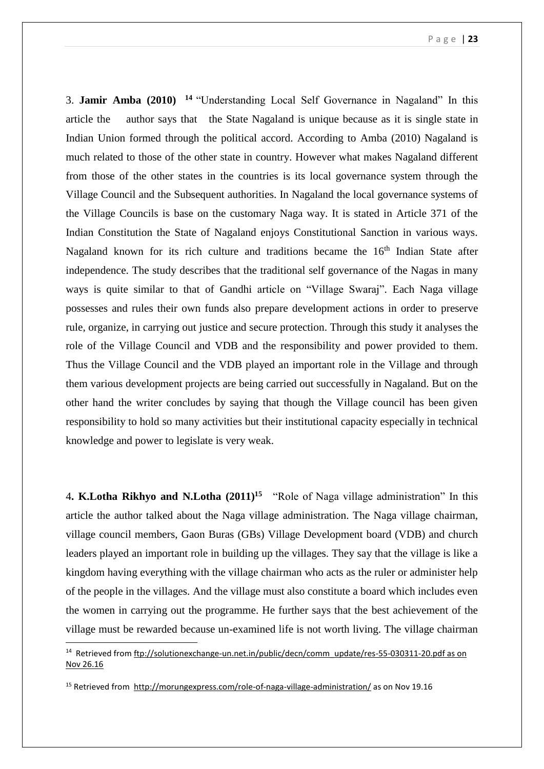3. **Jamir Amba (2010) <sup>14</sup>** "Understanding Local Self Governance in Nagaland" In this article the author says that the State Nagaland is unique because as it is single state in Indian Union formed through the political accord. According to Amba (2010) Nagaland is much related to those of the other state in country. However what makes Nagaland different from those of the other states in the countries is its local governance system through the Village Council and the Subsequent authorities. In Nagaland the local governance systems of the Village Councils is base on the customary Naga way. It is stated in Article 371 of the Indian Constitution the State of Nagaland enjoys Constitutional Sanction in various ways. Nagaland known for its rich culture and traditions became the 16<sup>th</sup> Indian State after independence. The study describes that the traditional self governance of the Nagas in many ways is quite similar to that of Gandhi article on "Village Swaraj". Each Naga village possesses and rules their own funds also prepare development actions in order to preserve rule, organize, in carrying out justice and secure protection. Through this study it analyses the role of the Village Council and VDB and the responsibility and power provided to them. Thus the Village Council and the VDB played an important role in the Village and through them various development projects are being carried out successfully in Nagaland. But on the other hand the writer concludes by saying that though the Village council has been given responsibility to hold so many activities but their institutional capacity especially in technical knowledge and power to legislate is very weak.

4**. K.Lotha Rikhyo and N.Lotha (2011)<sup>15</sup>** "Role of Naga village administration" In this article the author talked about the Naga village administration. The Naga village chairman, village council members, Gaon Buras (GBs) Village Development board (VDB) and church leaders played an important role in building up the villages. They say that the village is like a kingdom having everything with the village chairman who acts as the ruler or administer help of the people in the villages. And the village must also constitute a board which includes even the women in carrying out the programme. He further says that the best achievement of the village must be rewarded because un-examined life is not worth living. The village chairman

<sup>&</sup>lt;sup>14</sup> Retrieved from ftp://solutionexchange-un.net.in/public/decn/comm\_update/res-55-030311-20.pdf as on [Nov 26.16](ftp://solutionexchange-un.net.in/public/decn/comm_update/res-55-030311-20.pdf as on Nov 26.16)

<sup>15</sup> Retrieved from<http://morungexpress.com/role-of-naga-village-administration/> as on Nov 19.16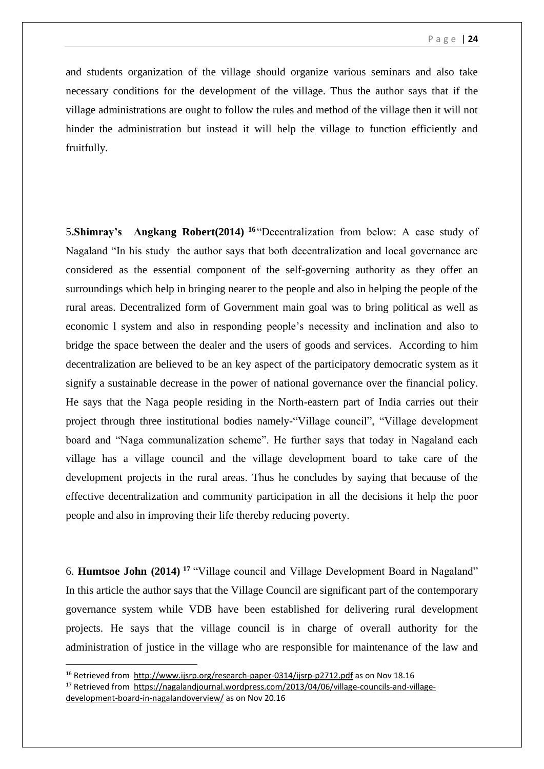and students organization of the village should organize various seminars and also take necessary conditions for the development of the village. Thus the author says that if the village administrations are ought to follow the rules and method of the village then it will not hinder the administration but instead it will help the village to function efficiently and fruitfully.

5**.Shimray's Angkang Robert(2014) <sup>16</sup>** "Decentralization from below: A case study of Nagaland "In his study the author says that both decentralization and local governance are considered as the essential component of the self-governing authority as they offer an surroundings which help in bringing nearer to the people and also in helping the people of the rural areas. Decentralized form of Government main goal was to bring political as well as economic l system and also in responding people's necessity and inclination and also to bridge the space between the dealer and the users of goods and services. According to him decentralization are believed to be an key aspect of the participatory democratic system as it signify a sustainable decrease in the power of national governance over the financial policy. He says that the Naga people residing in the North-eastern part of India carries out their project through three institutional bodies namely-"Village council", "Village development board and "Naga communalization scheme". He further says that today in Nagaland each village has a village council and the village development board to take care of the development projects in the rural areas. Thus he concludes by saying that because of the effective decentralization and community participation in all the decisions it help the poor people and also in improving their life thereby reducing poverty.

6. **Humtsoe John (2014) <sup>17</sup>** "Village council and Village Development Board in Nagaland" In this article the author says that the Village Council are significant part of the contemporary governance system while VDB have been established for delivering rural development projects. He says that the village council is in charge of overall authority for the administration of justice in the village who are responsible for maintenance of the law and

<sup>&</sup>lt;sup>16</sup> Retrieved from<http://www.ijsrp.org/research-paper-0314/ijsrp-p2712.pdf> as on Nov 18.16 <sup>17</sup> Retrieved from [https://nagalandjournal.wordpress.com/2013/04/06/village-councils-and-village](https://nagalandjournal.wordpress.com/2013/04/06/village-councils-and-village-development-board-in-nagalandoverview/)[development-board-in-nagalandoverview/](https://nagalandjournal.wordpress.com/2013/04/06/village-councils-and-village-development-board-in-nagalandoverview/) as on Nov 20.16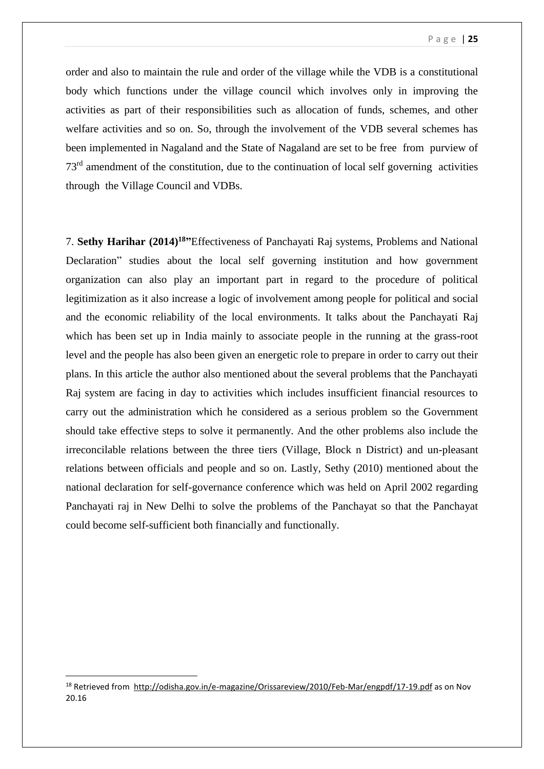order and also to maintain the rule and order of the village while the VDB is a constitutional body which functions under the village council which involves only in improving the activities as part of their responsibilities such as allocation of funds, schemes, and other welfare activities and so on. So, through the involvement of the VDB several schemes has been implemented in Nagaland and the State of Nagaland are set to be free from purview of 73rd amendment of the constitution, due to the continuation of local self governing activities through the Village Council and VDBs.

7. **Sethy Harihar (2014) <sup>18</sup>"**Effectiveness of Panchayati Raj systems, Problems and National Declaration" studies about the local self governing institution and how government organization can also play an important part in regard to the procedure of political legitimization as it also increase a logic of involvement among people for political and social and the economic reliability of the local environments. It talks about the Panchayati Raj which has been set up in India mainly to associate people in the running at the grass-root level and the people has also been given an energetic role to prepare in order to carry out their plans. In this article the author also mentioned about the several problems that the Panchayati Raj system are facing in day to activities which includes insufficient financial resources to carry out the administration which he considered as a serious problem so the Government should take effective steps to solve it permanently. And the other problems also include the irreconcilable relations between the three tiers (Village, Block n District) and un-pleasant relations between officials and people and so on. Lastly, Sethy (2010) mentioned about the national declaration for self-governance conference which was held on April 2002 regarding Panchayati raj in New Delhi to solve the problems of the Panchayat so that the Panchayat could become self-sufficient both financially and functionally.

1

<sup>18</sup> Retrieved from<http://odisha.gov.in/e-magazine/Orissareview/2010/Feb-Mar/engpdf/17-19.pdf> as on Nov 20.16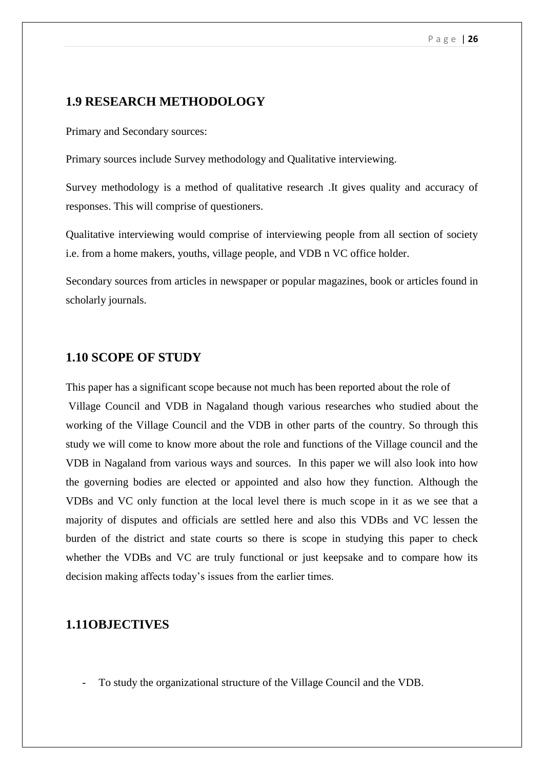## **1.9 RESEARCH METHODOLOGY**

Primary and Secondary sources:

Primary sources include Survey methodology and Qualitative interviewing.

Survey methodology is a method of qualitative research .It gives quality and accuracy of responses. This will comprise of questioners.

Qualitative interviewing would comprise of interviewing people from all section of society i.e. from a home makers, youths, village people, and VDB n VC office holder.

Secondary sources from articles in newspaper or popular magazines, book or articles found in scholarly journals.

## **1.10 SCOPE OF STUDY**

This paper has a significant scope because not much has been reported about the role of

Village Council and VDB in Nagaland though various researches who studied about the working of the Village Council and the VDB in other parts of the country. So through this study we will come to know more about the role and functions of the Village council and the VDB in Nagaland from various ways and sources. In this paper we will also look into how the governing bodies are elected or appointed and also how they function. Although the VDBs and VC only function at the local level there is much scope in it as we see that a majority of disputes and officials are settled here and also this VDBs and VC lessen the burden of the district and state courts so there is scope in studying this paper to check whether the VDBs and VC are truly functional or just keepsake and to compare how its decision making affects today's issues from the earlier times.

## **1.11OBJECTIVES**

- To study the organizational structure of the Village Council and the VDB.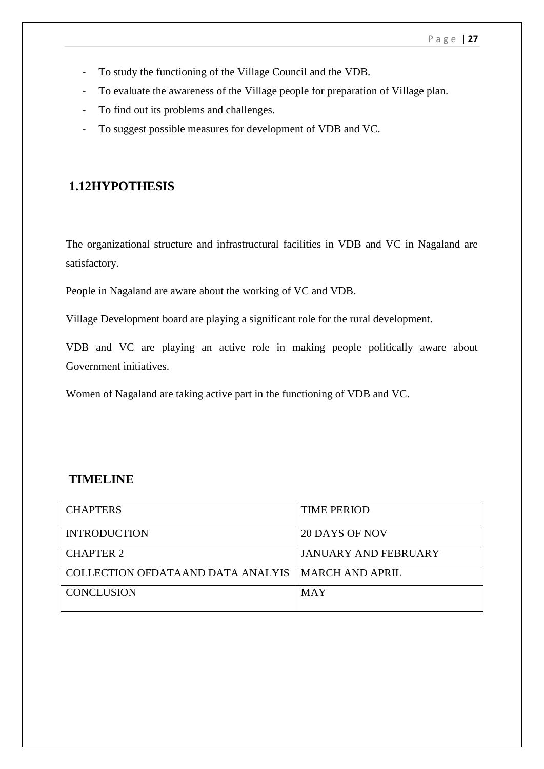- To study the functioning of the Village Council and the VDB.
- To evaluate the awareness of the Village people for preparation of Village plan.
- To find out its problems and challenges.
- To suggest possible measures for development of VDB and VC.

# **1.12HYPOTHESIS**

The organizational structure and infrastructural facilities in VDB and VC in Nagaland are satisfactory.

People in Nagaland are aware about the working of VC and VDB.

Village Development board are playing a significant role for the rural development.

VDB and VC are playing an active role in making people politically aware about Government initiatives.

Women of Nagaland are taking active part in the functioning of VDB and VC.

# **TIMELINE**

| <b>CHAPTERS</b>                   | <b>TIME PERIOD</b>          |
|-----------------------------------|-----------------------------|
| <b>INTRODUCTION</b>               | 20 DAYS OF NOV              |
| <b>CHAPTER 2</b>                  | <b>JANUARY AND FEBRUARY</b> |
| COLLECTION OFDATAAND DATA ANALYIS | MARCH AND APRIL             |
| <b>CONCLUSION</b>                 | <b>MAY</b>                  |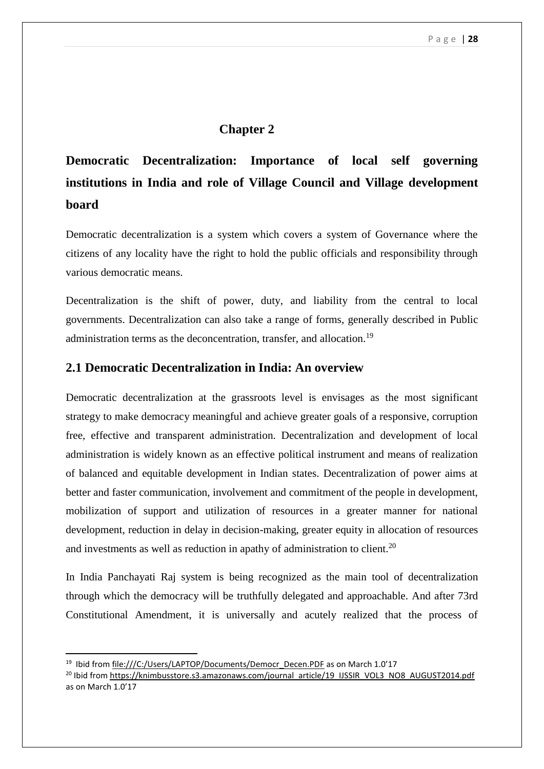## **Chapter 2**

# **Democratic Decentralization: Importance of local self governing institutions in India and role of Village Council and Village development board**

Democratic decentralization is a system which covers a system of Governance where the citizens of any locality have the right to hold the public officials and responsibility through various democratic means.

Decentralization is the shift of power, duty, and liability from the central to local governments. Decentralization can also take a range of forms, generally described in Public administration terms as the deconcentration, transfer, and allocation.<sup>19</sup>

## **2.1 Democratic Decentralization in India: An overview**

Democratic decentralization at the grassroots level is envisages as the most significant strategy to make democracy meaningful and achieve greater goals of a responsive, corruption free, effective and transparent administration. Decentralization and development of local administration is widely known as an effective political instrument and means of realization of balanced and equitable development in Indian states. Decentralization of power aims at better and faster communication, involvement and commitment of the people in development, mobilization of support and utilization of resources in a greater manner for national development, reduction in delay in decision-making, greater equity in allocation of resources and investments as well as reduction in apathy of administration to client.<sup>20</sup>

In India Panchayati Raj system is being recognized as the main tool of decentralization through which the democracy will be truthfully delegated and approachable. And after 73rd Constitutional Amendment, it is universally and acutely realized that the process of

<sup>&</sup>lt;sup>19</sup> Ibid fro[m file:///C:/Users/LAPTOP/Documents/Democr\\_Decen.PDF](file:///C:/Users/LAPTOP/Documents/Democr_Decen.PDF) as on March 1.0'17

<sup>&</sup>lt;sup>20</sup> Ibid fro[m https://knimbusstore.s3.amazonaws.com/journal\\_article/19\\_IJSSIR\\_VOL3\\_NO8\\_AUGUST2014.pdf](https://knimbusstore.s3.amazonaws.com/journal_article/19_IJSSIR_VOL3_NO8_AUGUST2014.pdf) as on March 1.0'17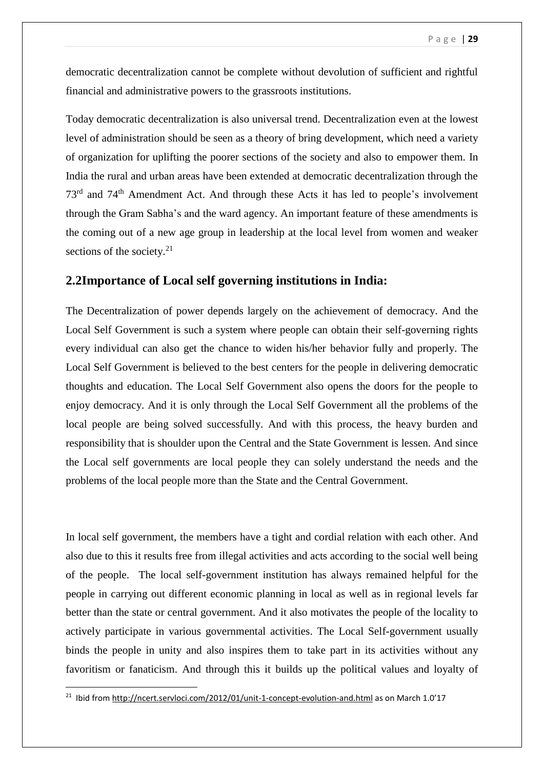democratic decentralization cannot be complete without devolution of sufficient and rightful financial and administrative powers to the grassroots institutions.

Today democratic decentralization is also universal trend. Decentralization even at the lowest level of administration should be seen as a theory of bring development, which need a variety of organization for uplifting the poorer sections of the society and also to empower them. In India the rural and urban areas have been extended at democratic decentralization through the 73rd and 74th Amendment Act. And through these Acts it has led to people's involvement through the Gram Sabha's and the ward agency. An important feature of these amendments is the coming out of a new age group in leadership at the local level from women and weaker sections of the society. $21$ 

## **2.2Importance of Local self governing institutions in India:**

The Decentralization of power depends largely on the achievement of democracy. And the Local Self Government is such a system where people can obtain their self-governing rights every individual can also get the chance to widen his/her behavior fully and properly. The Local Self Government is believed to the best centers for the people in delivering democratic thoughts and education. The Local Self Government also opens the doors for the people to enjoy democracy. And it is only through the Local Self Government all the problems of the local people are being solved successfully. And with this process, the heavy burden and responsibility that is shoulder upon the Central and the State Government is lessen. And since the Local self governments are local people they can solely understand the needs and the problems of the local people more than the State and the Central Government.

In local self government, the members have a tight and cordial relation with each other. And also due to this it results free from illegal activities and acts according to the social well being of the people. The local self-government institution has always remained helpful for the people in carrying out different economic planning in local as well as in regional levels far better than the state or central government. And it also motivates the people of the locality to actively participate in various governmental activities. The Local Self-government usually binds the people in unity and also inspires them to take part in its activities without any favoritism or fanaticism. And through this it builds up the political values and loyalty of

<sup>&</sup>lt;sup>21</sup> Ibid fro[m http://ncert.servloci.com/2012/01/unit-1-concept-evolution-and.html](http://ncert.servloci.com/2012/01/unit-1-concept-evolution-and.html) as on March 1.0'17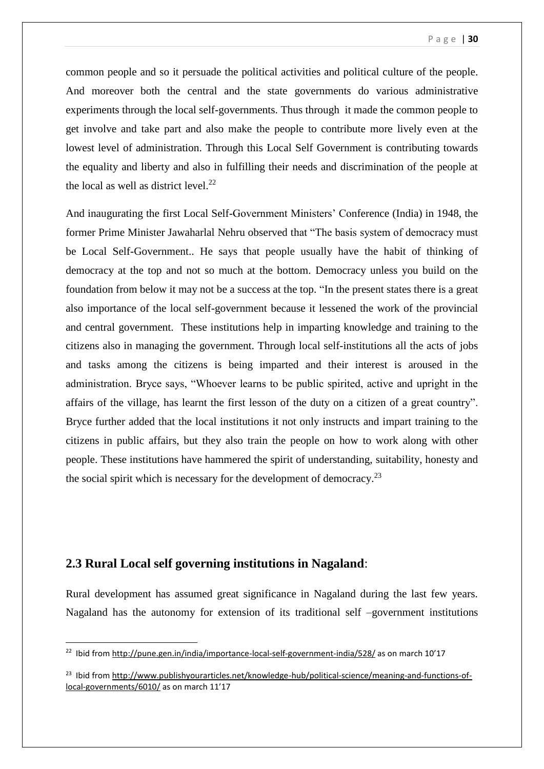common people and so it persuade the political activities and political culture of the people. And moreover both the central and the state governments do various administrative experiments through the local self-governments. Thus through it made the common people to get involve and take part and also make the people to contribute more lively even at the lowest level of administration. Through this Local Self Government is contributing towards the equality and liberty and also in fulfilling their needs and discrimination of the people at the local as well as district level.<sup>22</sup>

And inaugurating the first Local Self-Government Ministers' Conference (India) in 1948, the former Prime Minister Jawaharlal Nehru observed that "The basis system of democracy must be Local Self-Government.. He says that people usually have the habit of thinking of democracy at the top and not so much at the bottom. Democracy unless you build on the foundation from below it may not be a success at the top. "In the present states there is a great also importance of the local self-government because it lessened the work of the provincial and central government. These institutions help in imparting knowledge and training to the citizens also in managing the government. Through local self-institutions all the acts of jobs and tasks among the citizens is being imparted and their interest is aroused in the administration. Bryce says, "Whoever learns to be public spirited, active and upright in the affairs of the village, has learnt the first lesson of the duty on a citizen of a great country". Bryce further added that the local institutions it not only instructs and impart training to the citizens in public affairs, but they also train the people on how to work along with other people. These institutions have hammered the spirit of understanding, suitability, honesty and the social spirit which is necessary for the development of democracy.<sup>23</sup>

## **2.3 Rural Local self governing institutions in Nagaland**:

**.** 

Rural development has assumed great significance in Nagaland during the last few years. Nagaland has the autonomy for extension of its traditional self –government institutions

<sup>&</sup>lt;sup>22</sup> Ibid fro[m http://pune.gen.in/india/importance-local-self-government-india/528/](http://pune.gen.in/india/importance-local-self-government-india/528/) as on march 10'17

<sup>&</sup>lt;sup>23</sup> Ibid fro[m http://www.publishyourarticles.net/knowledge-hub/political-science/meaning-and-functions-of](http://www.publishyourarticles.net/knowledge-hub/political-science/meaning-and-functions-of-local-governments/6010/)[local-governments/6010/](http://www.publishyourarticles.net/knowledge-hub/political-science/meaning-and-functions-of-local-governments/6010/) as on march 11'17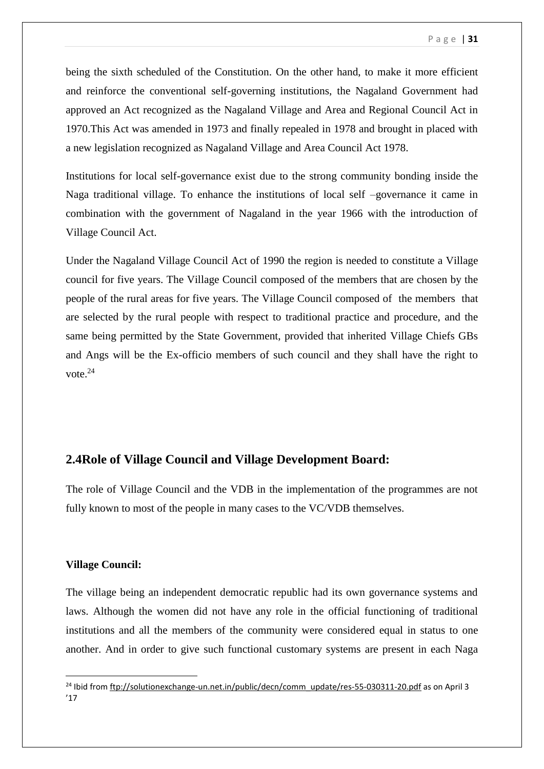being the sixth scheduled of the Constitution. On the other hand, to make it more efficient and reinforce the conventional self-governing institutions, the Nagaland Government had approved an Act recognized as the Nagaland Village and Area and Regional Council Act in 1970.This Act was amended in 1973 and finally repealed in 1978 and brought in placed with a new legislation recognized as Nagaland Village and Area Council Act 1978.

Institutions for local self-governance exist due to the strong community bonding inside the Naga traditional village. To enhance the institutions of local self –governance it came in combination with the government of Nagaland in the year 1966 with the introduction of Village Council Act.

Under the Nagaland Village Council Act of 1990 the region is needed to constitute a Village council for five years. The Village Council composed of the members that are chosen by the people of the rural areas for five years. The Village Council composed of the members that are selected by the rural people with respect to traditional practice and procedure, and the same being permitted by the State Government, provided that inherited Village Chiefs GBs and Angs will be the Ex-officio members of such council and they shall have the right to vote. 24

## **2.4Role of Village Council and Village Development Board:**

The role of Village Council and the VDB in the implementation of the programmes are not fully known to most of the people in many cases to the VC/VDB themselves.

### **Village Council:**

1

The village being an independent democratic republic had its own governance systems and laws. Although the women did not have any role in the official functioning of traditional institutions and all the members of the community were considered equal in status to one another. And in order to give such functional customary systems are present in each Naga

<sup>&</sup>lt;sup>24</sup> Ibid fro[m ftp://solutionexchange-un.net.in/public/decn/comm\\_update/res-55-030311-20.pdf](ftp://solutionexchange-un.net.in/public/decn/comm_update/res-55-030311-20.pdf) as on April 3 '17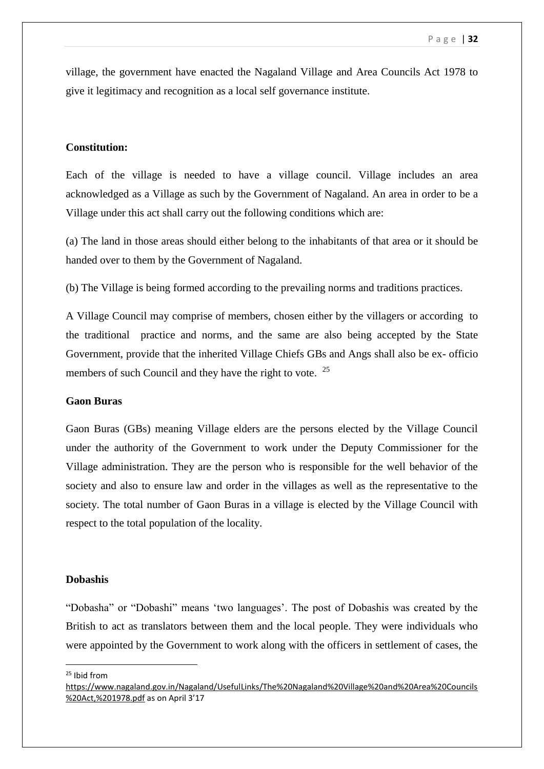village, the government have enacted the Nagaland Village and Area Councils Act 1978 to give it legitimacy and recognition as a local self governance institute.

### **Constitution:**

Each of the village is needed to have a village council. Village includes an area acknowledged as a Village as such by the Government of Nagaland. An area in order to be a Village under this act shall carry out the following conditions which are:

(a) The land in those areas should either belong to the inhabitants of that area or it should be handed over to them by the Government of Nagaland.

(b) The Village is being formed according to the prevailing norms and traditions practices.

A Village Council may comprise of members, chosen either by the villagers or according to the traditional practice and norms, and the same are also being accepted by the State Government, provide that the inherited Village Chiefs GBs and Angs shall also be ex- officio members of such Council and they have the right to vote. <sup>25</sup>

### **Gaon Buras**

Gaon Buras (GBs) meaning Village elders are the persons elected by the Village Council under the authority of the Government to work under the Deputy Commissioner for the Village administration. They are the person who is responsible for the well behavior of the society and also to ensure law and order in the villages as well as the representative to the society. The total number of Gaon Buras in a village is elected by the Village Council with respect to the total population of the locality.

### **Dobashis**

"Dobasha" or "Dobashi" means 'two languages'. The post of Dobashis was created by the British to act as translators between them and the local people. They were individuals who were appointed by the Government to work along with the officers in settlement of cases, the

<sup>25</sup> Ibid from

[https://www.nagaland.gov.in/Nagaland/UsefulLinks/The%20Nagaland%20Village%20and%20Area%20Councils](https://www.nagaland.gov.in/Nagaland/UsefulLinks/The%20Nagaland%20Village%20and%20Area%20Councils%20Act,%201978.pdf) [%20Act,%201978.pdf](https://www.nagaland.gov.in/Nagaland/UsefulLinks/The%20Nagaland%20Village%20and%20Area%20Councils%20Act,%201978.pdf) as on April 3'17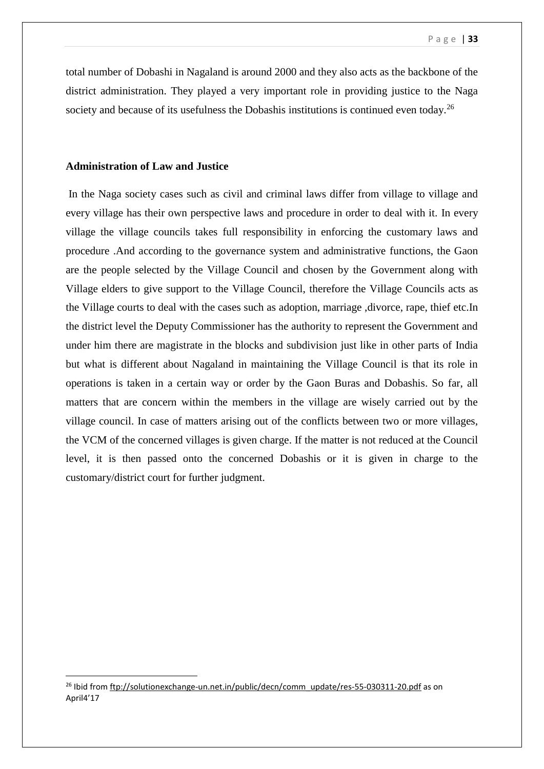total number of Dobashi in Nagaland is around 2000 and they also acts as the backbone of the district administration. They played a very important role in providing justice to the Naga society and because of its usefulness the Dobashis institutions is continued even today.<sup>26</sup>

### **Administration of Law and Justice**

1

In the Naga society cases such as civil and criminal laws differ from village to village and every village has their own perspective laws and procedure in order to deal with it. In every village the village councils takes full responsibility in enforcing the customary laws and procedure .And according to the governance system and administrative functions, the Gaon are the people selected by the Village Council and chosen by the Government along with Village elders to give support to the Village Council, therefore the Village Councils acts as the Village courts to deal with the cases such as adoption, marriage ,divorce, rape, thief etc.In the district level the Deputy Commissioner has the authority to represent the Government and under him there are magistrate in the blocks and subdivision just like in other parts of India but what is different about Nagaland in maintaining the Village Council is that its role in operations is taken in a certain way or order by the Gaon Buras and Dobashis. So far, all matters that are concern within the members in the village are wisely carried out by the village council. In case of matters arising out of the conflicts between two or more villages, the VCM of the concerned villages is given charge. If the matter is not reduced at the Council level, it is then passed onto the concerned Dobashis or it is given in charge to the customary/district court for further judgment.

<sup>&</sup>lt;sup>26</sup> Ibid fro[m ftp://solutionexchange-un.net.in/public/decn/comm\\_update/res-55-030311-20.pdf](ftp://solutionexchange-un.net.in/public/decn/comm_update/res-55-030311-20.pdf) as on April4'17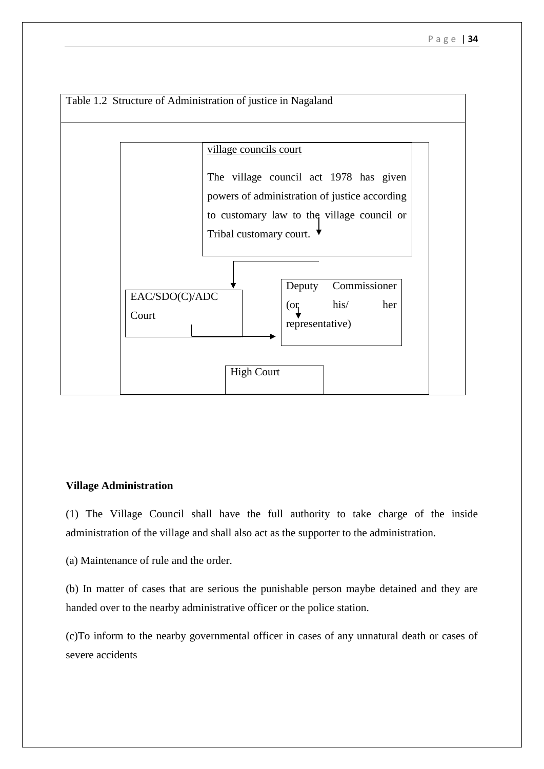

### **Village Administration**

(1) The Village Council shall have the full authority to take charge of the inside administration of the village and shall also act as the supporter to the administration.

(a) Maintenance of rule and the order.

(b) In matter of cases that are serious the punishable person maybe detained and they are handed over to the nearby administrative officer or the police station.

(c)To inform to the nearby governmental officer in cases of any unnatural death or cases of severe accidents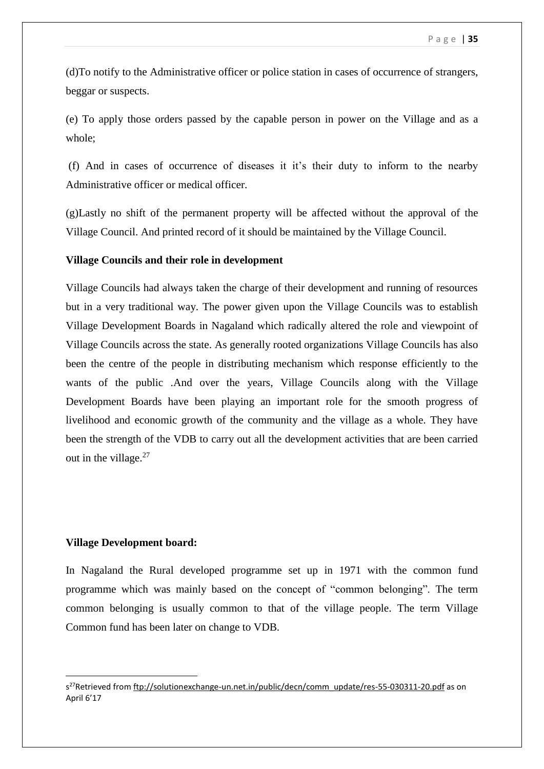(d)To notify to the Administrative officer or police station in cases of occurrence of strangers, beggar or suspects.

(e) To apply those orders passed by the capable person in power on the Village and as a whole;

(f) And in cases of occurrence of diseases it it's their duty to inform to the nearby Administrative officer or medical officer.

(g)Lastly no shift of the permanent property will be affected without the approval of the Village Council. And printed record of it should be maintained by the Village Council.

### **Village Councils and their role in development**

Village Councils had always taken the charge of their development and running of resources but in a very traditional way. The power given upon the Village Councils was to establish Village Development Boards in Nagaland which radically altered the role and viewpoint of Village Councils across the state. As generally rooted organizations Village Councils has also been the centre of the people in distributing mechanism which response efficiently to the wants of the public .And over the years, Village Councils along with the Village Development Boards have been playing an important role for the smooth progress of livelihood and economic growth of the community and the village as a whole. They have been the strength of the VDB to carry out all the development activities that are been carried out in the village. $27$ 

### **Village Development board:**

1

In Nagaland the Rural developed programme set up in 1971 with the common fund programme which was mainly based on the concept of "common belonging". The term common belonging is usually common to that of the village people. The term Village Common fund has been later on change to VDB.

s<sup>27</sup>Retrieved from [ftp://solutionexchange-un.net.in/public/decn/comm\\_update/res-55-030311-20.pdf](ftp://solutionexchange-un.net.in/public/decn/comm_update/res-55-030311-20.pdf) as on April 6'17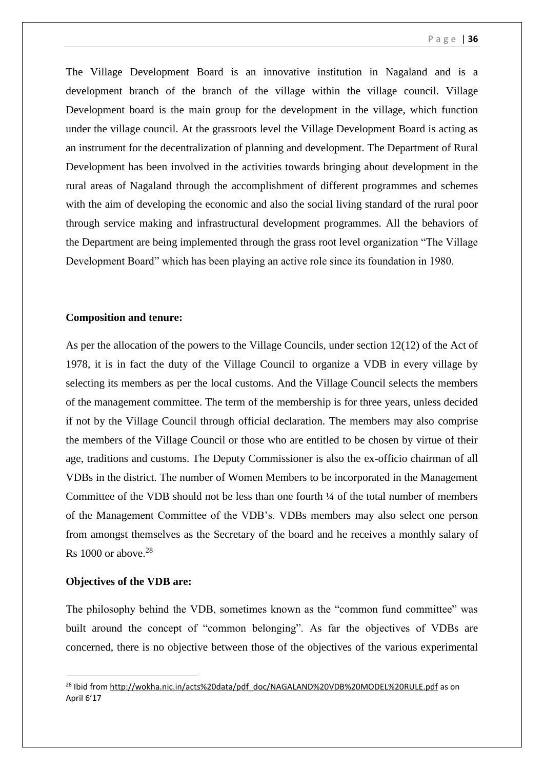The Village Development Board is an innovative institution in Nagaland and is a development branch of the branch of the village within the village council. Village Development board is the main group for the development in the village, which function under the village council. At the grassroots level the Village Development Board is acting as an instrument for the decentralization of planning and development. The Department of Rural Development has been involved in the activities towards bringing about development in the rural areas of Nagaland through the accomplishment of different programmes and schemes with the aim of developing the economic and also the social living standard of the rural poor through service making and infrastructural development programmes. All the behaviors of the Department are being implemented through the grass root level organization "The Village Development Board" which has been playing an active role since its foundation in 1980.

### **Composition and tenure:**

As per the allocation of the powers to the Village Councils, under section 12(12) of the Act of 1978, it is in fact the duty of the Village Council to organize a VDB in every village by selecting its members as per the local customs. And the Village Council selects the members of the management committee. The term of the membership is for three years, unless decided if not by the Village Council through official declaration. The members may also comprise the members of the Village Council or those who are entitled to be chosen by virtue of their age, traditions and customs. The Deputy Commissioner is also the ex-officio chairman of all VDBs in the district. The number of Women Members to be incorporated in the Management Committee of the VDB should not be less than one fourth  $\frac{1}{4}$  of the total number of members of the Management Committee of the VDB's. VDBs members may also select one person from amongst themselves as the Secretary of the board and he receives a monthly salary of Rs 1000 or above. 28

### **Objectives of the VDB are:**

1

The philosophy behind the VDB, sometimes known as the "common fund committee" was built around the concept of "common belonging". As far the objectives of VDBs are concerned, there is no objective between those of the objectives of the various experimental

<sup>&</sup>lt;sup>28</sup> Ibid fro[m http://wokha.nic.in/acts%20data/pdf\\_doc/NAGALAND%20VDB%20MODEL%20RULE.pdf](http://wokha.nic.in/acts%20data/pdf_doc/NAGALAND%20VDB%20MODEL%20RULE.pdf) as on April 6'17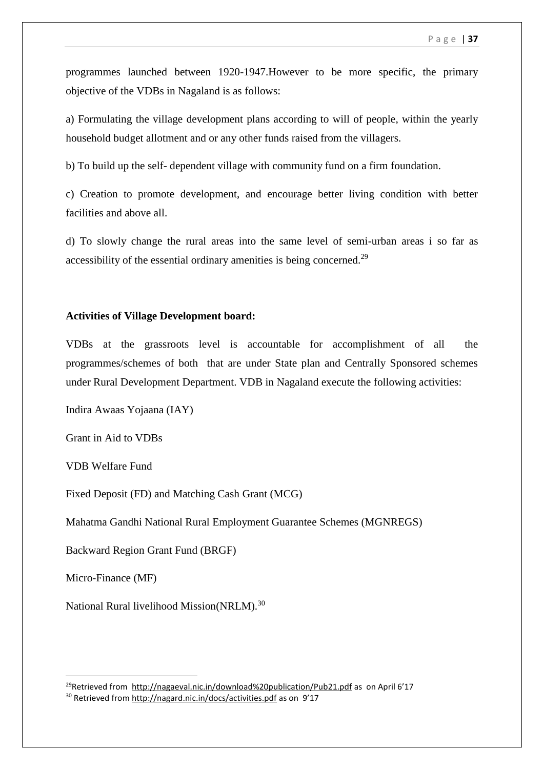programmes launched between 1920-1947.However to be more specific, the primary objective of the VDBs in Nagaland is as follows:

a) Formulating the village development plans according to will of people, within the yearly household budget allotment and or any other funds raised from the villagers.

b) To build up the self- dependent village with community fund on a firm foundation.

c) Creation to promote development, and encourage better living condition with better facilities and above all.

d) To slowly change the rural areas into the same level of semi-urban areas i so far as accessibility of the essential ordinary amenities is being concerned.<sup>29</sup>

### **Activities of Village Development board:**

VDBs at the grassroots level is accountable for accomplishment of all the programmes/schemes of both that are under State plan and Centrally Sponsored schemes under Rural Development Department. VDB in Nagaland execute the following activities:

Indira Awaas Yojaana (IAY)

Grant in Aid to VDBs

VDB Welfare Fund

Fixed Deposit (FD) and Matching Cash Grant (MCG)

Mahatma Gandhi National Rural Employment Guarantee Schemes (MGNREGS)

Backward Region Grant Fund (BRGF)

Micro-Finance (MF)

1

National Rural livelihood Mission(NRLM).<sup>30</sup>

<sup>29</sup>Retrieved from <http://nagaeval.nic.in/download%20publication/Pub21.pdf> as on April 6'17 <sup>30</sup> Retrieved from<http://nagard.nic.in/docs/activities.pdf> as on 9'17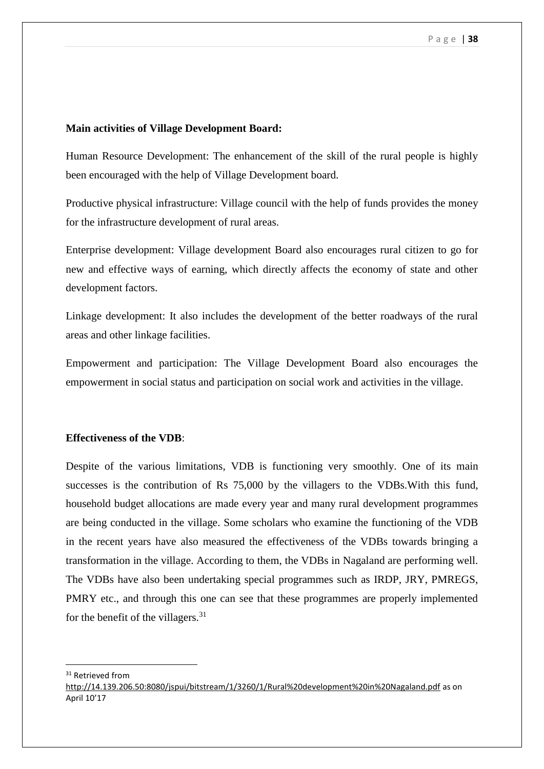### **Main activities of Village Development Board:**

Human Resource Development: The enhancement of the skill of the rural people is highly been encouraged with the help of Village Development board.

Productive physical infrastructure: Village council with the help of funds provides the money for the infrastructure development of rural areas.

Enterprise development: Village development Board also encourages rural citizen to go for new and effective ways of earning, which directly affects the economy of state and other development factors.

Linkage development: It also includes the development of the better roadways of the rural areas and other linkage facilities.

Empowerment and participation: The Village Development Board also encourages the empowerment in social status and participation on social work and activities in the village.

### **Effectiveness of the VDB**:

Despite of the various limitations, VDB is functioning very smoothly. One of its main successes is the contribution of Rs 75,000 by the villagers to the VDBs.With this fund, household budget allocations are made every year and many rural development programmes are being conducted in the village. Some scholars who examine the functioning of the VDB in the recent years have also measured the effectiveness of the VDBs towards bringing a transformation in the village. According to them, the VDBs in Nagaland are performing well. The VDBs have also been undertaking special programmes such as IRDP, JRY, PMREGS, PMRY etc., and through this one can see that these programmes are properly implemented for the benefit of the villagers. $31$ 

<sup>31</sup> Retrieved from

<http://14.139.206.50:8080/jspui/bitstream/1/3260/1/Rural%20development%20in%20Nagaland.pdf> as on April 10'17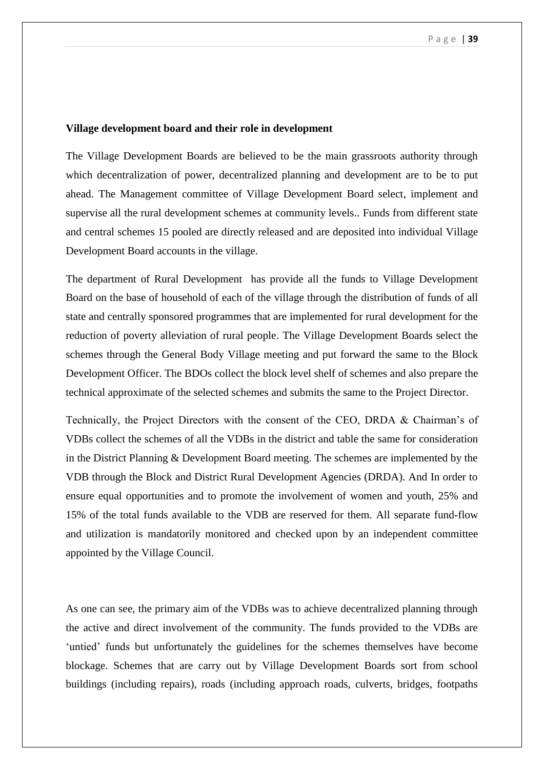### **Village development board and their role in development**

The Village Development Boards are believed to be the main grassroots authority through which decentralization of power, decentralized planning and development are to be to put ahead. The Management committee of Village Development Board select, implement and supervise all the rural development schemes at community levels.. Funds from different state and central schemes 15 pooled are directly released and are deposited into individual Village Development Board accounts in the village.

The department of Rural Development has provide all the funds to Village Development Board on the base of household of each of the village through the distribution of funds of all state and centrally sponsored programmes that are implemented for rural development for the reduction of poverty alleviation of rural people. The Village Development Boards select the schemes through the General Body Village meeting and put forward the same to the Block Development Officer. The BDOs collect the block level shelf of schemes and also prepare the technical approximate of the selected schemes and submits the same to the Project Director.

Technically, the Project Directors with the consent of the CEO, DRDA & Chairman's of VDBs collect the schemes of all the VDBs in the district and table the same for consideration in the District Planning & Development Board meeting. The schemes are implemented by the VDB through the Block and District Rural Development Agencies (DRDA). And In order to ensure equal opportunities and to promote the involvement of women and youth, 25% and 15% of the total funds available to the VDB are reserved for them. All separate fund-flow and utilization is mandatorily monitored and checked upon by an independent committee appointed by the Village Council.

As one can see, the primary aim of the VDBs was to achieve decentralized planning through the active and direct involvement of the community. The funds provided to the VDBs are 'untied' funds but unfortunately the guidelines for the schemes themselves have become blockage. Schemes that are carry out by Village Development Boards sort from school buildings (including repairs), roads (including approach roads, culverts, bridges, footpaths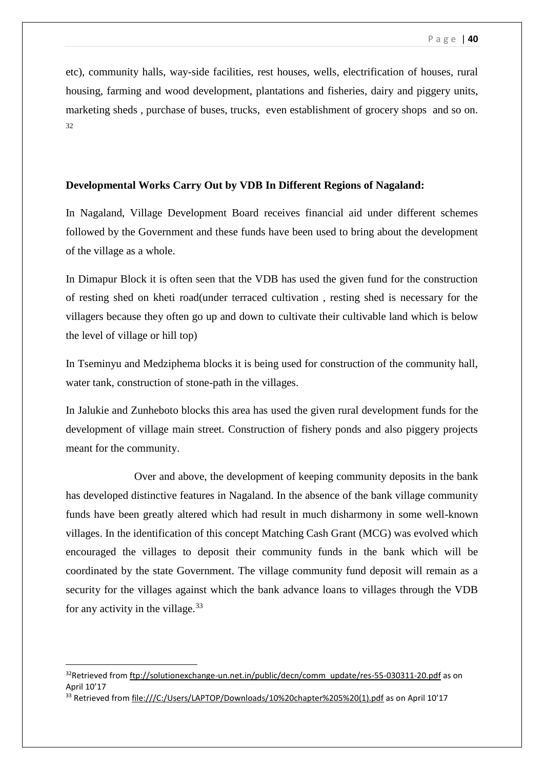etc), community halls, way-side facilities, rest houses, wells, electrification of houses, rural housing, farming and wood development, plantations and fisheries, dairy and piggery units, marketing sheds , purchase of buses, trucks, even establishment of grocery shops and so on.  $32$ 

### **Developmental Works Carry Out by VDB In Different Regions of Nagaland:**

In Nagaland, Village Development Board receives financial aid under different schemes followed by the Government and these funds have been used to bring about the development of the village as a whole.

In Dimapur Block it is often seen that the VDB has used the given fund for the construction of resting shed on kheti road(under terraced cultivation , resting shed is necessary for the villagers because they often go up and down to cultivate their cultivable land which is below the level of village or hill top)

In Tseminyu and Medziphema blocks it is being used for construction of the community hall, water tank, construction of stone-path in the villages.

In Jalukie and Zunheboto blocks this area has used the given rural development funds for the development of village main street. Construction of fishery ponds and also piggery projects meant for the community.

 Over and above, the development of keeping community deposits in the bank has developed distinctive features in Nagaland. In the absence of the bank village community funds have been greatly altered which had result in much disharmony in some well-known villages. In the identification of this concept Matching Cash Grant (MCG) was evolved which encouraged the villages to deposit their community funds in the bank which will be coordinated by the state Government. The village community fund deposit will remain as a security for the villages against which the bank advance loans to villages through the VDB for any activity in the village. $33$ 

<sup>&</sup>lt;sup>32</sup>Retrieved from [ftp://solutionexchange-un.net.in/public/decn/comm\\_update/res-55-030311-20.pdf](ftp://solutionexchange-un.net.in/public/decn/comm_update/res-55-030311-20.pdf) as on April 10'17

<sup>&</sup>lt;sup>33</sup> Retrieved from [file:///C:/Users/LAPTOP/Downloads/10%20chapter%205%20\(1\).pdf](file:///C:/Users/LAPTOP/Downloads/10%20chapter%205%20(1).pdf) as on April 10'17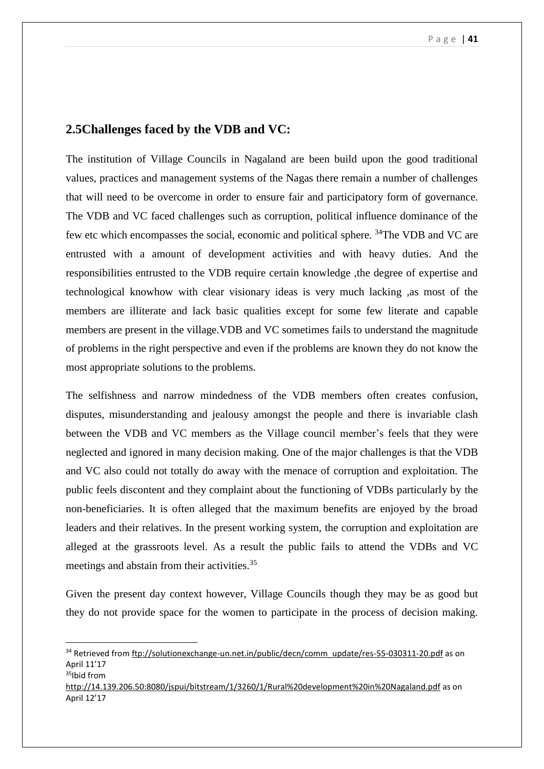## **2.5Challenges faced by the VDB and VC:**

The institution of Village Councils in Nagaland are been build upon the good traditional values, practices and management systems of the Nagas there remain a number of challenges that will need to be overcome in order to ensure fair and participatory form of governance. The VDB and VC faced challenges such as corruption, political influence dominance of the few etc which encompasses the social, economic and political sphere. <sup>34</sup>The VDB and VC are entrusted with a amount of development activities and with heavy duties. And the responsibilities entrusted to the VDB require certain knowledge ,the degree of expertise and technological knowhow with clear visionary ideas is very much lacking ,as most of the members are illiterate and lack basic qualities except for some few literate and capable members are present in the village.VDB and VC sometimes fails to understand the magnitude of problems in the right perspective and even if the problems are known they do not know the most appropriate solutions to the problems.

The selfishness and narrow mindedness of the VDB members often creates confusion, disputes, misunderstanding and jealousy amongst the people and there is invariable clash between the VDB and VC members as the Village council member's feels that they were neglected and ignored in many decision making. One of the major challenges is that the VDB and VC also could not totally do away with the menace of corruption and exploitation. The public feels discontent and they complaint about the functioning of VDBs particularly by the non-beneficiaries. It is often alleged that the maximum benefits are enjoyed by the broad leaders and their relatives. In the present working system, the corruption and exploitation are alleged at the grassroots level. As a result the public fails to attend the VDBs and VC meetings and abstain from their activities.<sup>35</sup>

Given the present day context however, Village Councils though they may be as good but they do not provide space for the women to participate in the process of decision making.

```
http://14.139.206.50:8080/jspui/bitstream/1/3260/1/Rural%20development%20in%20Nagaland.pdf as on 
April 12'17
```
<sup>&</sup>lt;sup>34</sup> Retrieved from [ftp://solutionexchange-un.net.in/public/decn/comm\\_update/res-55-030311-20.pdf](ftp://solutionexchange-un.net.in/public/decn/comm_update/res-55-030311-20.pdf) as on April 11'17 <sup>35</sup>Ibid from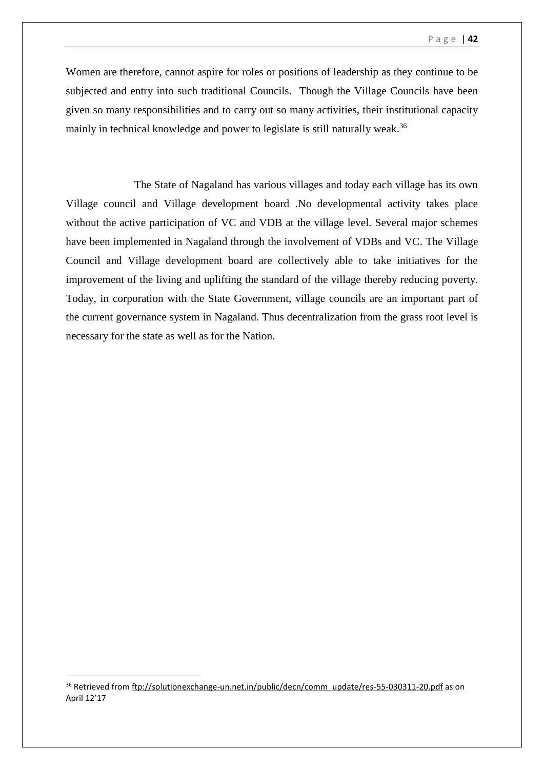Women are therefore, cannot aspire for roles or positions of leadership as they continue to be subjected and entry into such traditional Councils. Though the Village Councils have been given so many responsibilities and to carry out so many activities, their institutional capacity mainly in technical knowledge and power to legislate is still naturally weak.<sup>36</sup>

 The State of Nagaland has various villages and today each village has its own Village council and Village development board .No developmental activity takes place without the active participation of VC and VDB at the village level. Several major schemes have been implemented in Nagaland through the involvement of VDBs and VC. The Village Council and Village development board are collectively able to take initiatives for the improvement of the living and uplifting the standard of the village thereby reducing poverty. Today, in corporation with the State Government, village councils are an important part of the current governance system in Nagaland. Thus decentralization from the grass root level is necessary for the state as well as for the Nation.

1

<sup>&</sup>lt;sup>36</sup> Retrieved from [ftp://solutionexchange-un.net.in/public/decn/comm\\_update/res-55-030311-20.pdf](ftp://solutionexchange-un.net.in/public/decn/comm_update/res-55-030311-20.pdf) as on April 12'17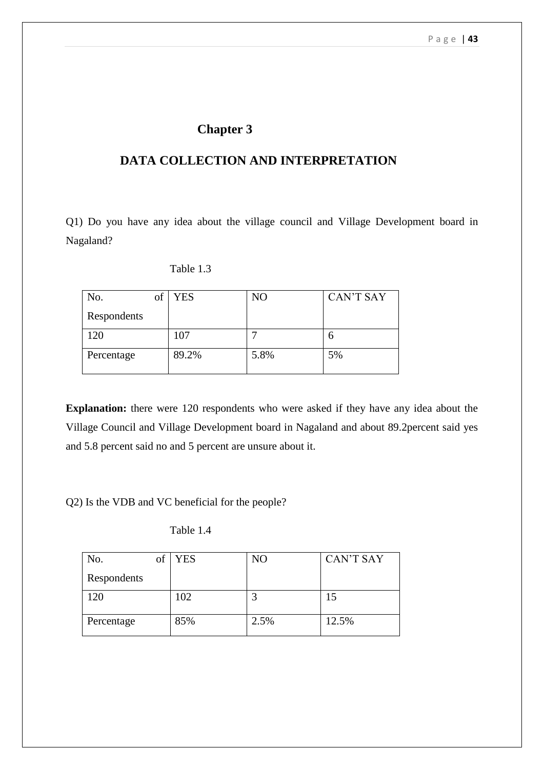# **Chapter 3**

# **DATA COLLECTION AND INTERPRETATION**

Q1) Do you have any idea about the village council and Village Development board in Nagaland?

| No.<br>of   | <b>YES</b> | NO   | <b>CAN'T SAY</b> |
|-------------|------------|------|------------------|
| Respondents |            |      |                  |
| 120         | 107        |      |                  |
| Percentage  | 89.2%      | 5.8% | 5%               |

**Explanation:** there were 120 respondents who were asked if they have any idea about the Village Council and Village Development board in Nagaland and about 89.2percent said yes and 5.8 percent said no and 5 percent are unsure about it.

Q2) Is the VDB and VC beneficial for the people?

| No.         | Οİ | <b>YES</b> | N <sub>O</sub> | <b>CAN'T SAY</b> |
|-------------|----|------------|----------------|------------------|
| Respondents |    |            |                |                  |
| 120         |    | 102        | ◠              | 15               |
| Percentage  |    | 85%        | 2.5%           | 12.5%            |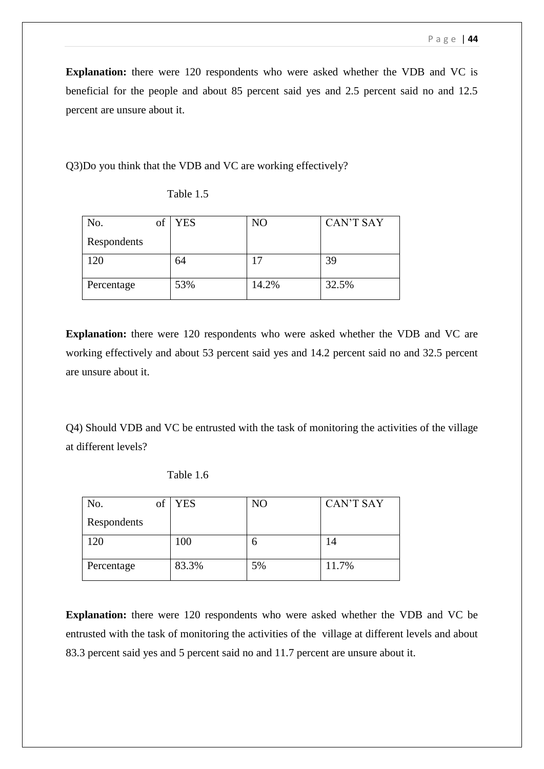**Explanation:** there were 120 respondents who were asked whether the VDB and VC is beneficial for the people and about 85 percent said yes and 2.5 percent said no and 12.5 percent are unsure about it.

Q3)Do you think that the VDB and VC are working effectively?

| No.         | ОI | <b>YES</b> | N <sub>O</sub> | <b>CAN'T SAY</b> |
|-------------|----|------------|----------------|------------------|
| Respondents |    |            |                |                  |
| 120         |    | 64         | 17             | 39               |
| Percentage  |    | 53%        | 14.2%          | 32.5%            |

Table 1.5

**Explanation:** there were 120 respondents who were asked whether the VDB and VC are working effectively and about 53 percent said yes and 14.2 percent said no and 32.5 percent are unsure about it.

Q4) Should VDB and VC be entrusted with the task of monitoring the activities of the village at different levels?

| No.<br>of   | <b>YES</b> | NO | <b>CAN'T SAY</b> |
|-------------|------------|----|------------------|
| Respondents |            |    |                  |
| 120         | 100        | n  | 14               |
| Percentage  | 83.3%      | 5% | 11.7%            |

Table 1.6

**Explanation:** there were 120 respondents who were asked whether the VDB and VC be entrusted with the task of monitoring the activities of the village at different levels and about 83.3 percent said yes and 5 percent said no and 11.7 percent are unsure about it.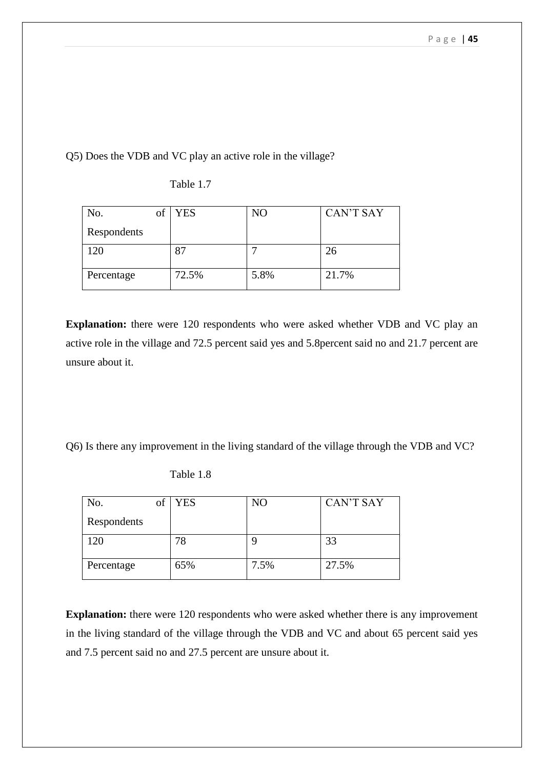Q5) Does the VDB and VC play an active role in the village?

| No.<br>of   | <b>YES</b> | N <sub>O</sub> | <b>CAN'T SAY</b> |
|-------------|------------|----------------|------------------|
| Respondents |            |                |                  |
| 120         | 87         | −              | 26               |
| Percentage  | 72.5%      | 5.8%           | 21.7%            |

Table 1.7

**Explanation:** there were 120 respondents who were asked whether VDB and VC play an active role in the village and 72.5 percent said yes and 5.8percent said no and 21.7 percent are unsure about it.

Q6) Is there any improvement in the living standard of the village through the VDB and VC?

| No.<br>of   | <b>YES</b> | N <sub>O</sub> | <b>CAN'T SAY</b> |
|-------------|------------|----------------|------------------|
| Respondents |            |                |                  |
| 120         | 78         | g              | 33               |
| Percentage  | 65%        | 7.5%           | 27.5%            |

Table 1.8

**Explanation:** there were 120 respondents who were asked whether there is any improvement in the living standard of the village through the VDB and VC and about 65 percent said yes and 7.5 percent said no and 27.5 percent are unsure about it.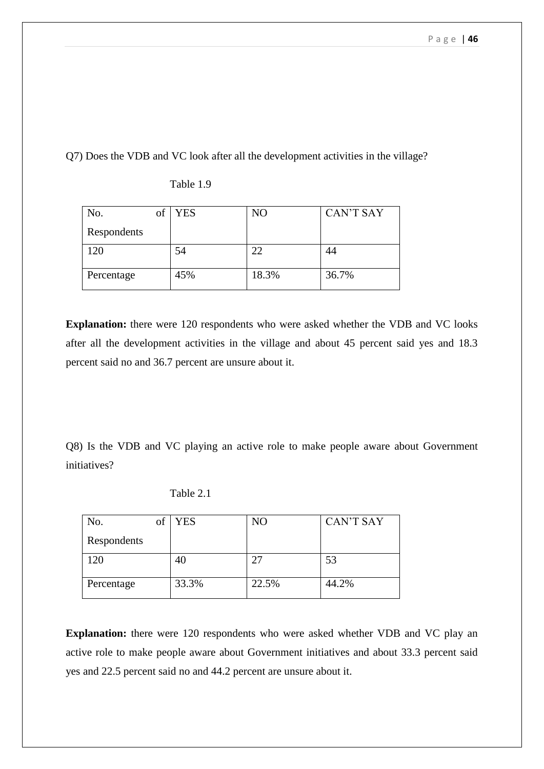Q7) Does the VDB and VC look after all the development activities in the village?

| No.<br>of   | YES | N <sub>O</sub> | <b>CAN'T SAY</b> |
|-------------|-----|----------------|------------------|
| Respondents |     |                |                  |
| 120         | 54  | 22             | 44               |
| Percentage  | 45% | 18.3%          | 36.7%            |

Table 1.9

**Explanation:** there were 120 respondents who were asked whether the VDB and VC looks after all the development activities in the village and about 45 percent said yes and 18.3 percent said no and 36.7 percent are unsure about it.

Q8) Is the VDB and VC playing an active role to make people aware about Government initiatives?

Table 2.1

| No.         | Оİ | <b>YES</b> | NO    | <b>CAN'T SAY</b> |
|-------------|----|------------|-------|------------------|
| Respondents |    |            |       |                  |
| 120         |    | 40         |       | 53               |
| Percentage  |    | 33.3%      | 22.5% | 44.2%            |

**Explanation:** there were 120 respondents who were asked whether VDB and VC play an active role to make people aware about Government initiatives and about 33.3 percent said yes and 22.5 percent said no and 44.2 percent are unsure about it.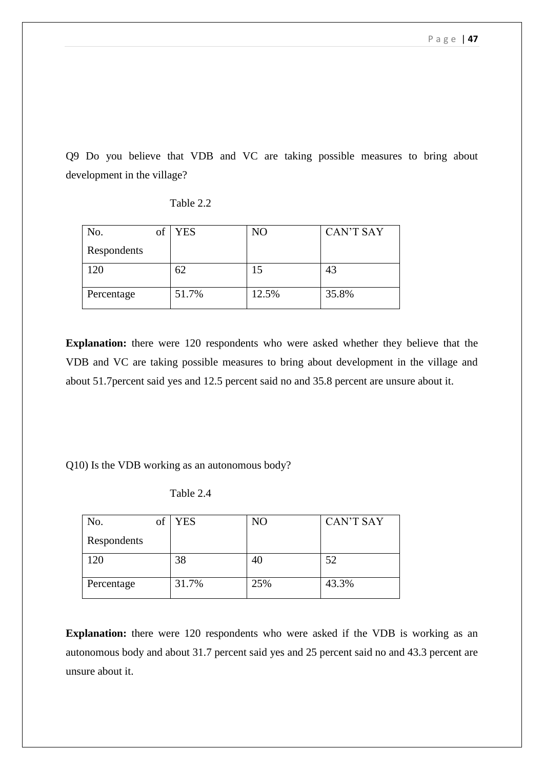Q9 Do you believe that VDB and VC are taking possible measures to bring about development in the village?

| No.<br>of   | <b>YES</b> | NO    | <b>CAN'T SAY</b> |
|-------------|------------|-------|------------------|
| Respondents |            |       |                  |
| 120         | 62         | 15    | 43               |
| Percentage  | 51.7%      | 12.5% | 35.8%            |

Table 2.2

**Explanation:** there were 120 respondents who were asked whether they believe that the VDB and VC are taking possible measures to bring about development in the village and about 51.7percent said yes and 12.5 percent said no and 35.8 percent are unsure about it.

Q10) Is the VDB working as an autonomous body?

Table 2.4

| No.         | Οİ | <b>YES</b> | NO  | <b>CAN'T SAY</b> |
|-------------|----|------------|-----|------------------|
| Respondents |    |            |     |                  |
| 120         |    | 38         | 40  | 52               |
| Percentage  |    | 31.7%      | 25% | 43.3%            |

**Explanation:** there were 120 respondents who were asked if the VDB is working as an autonomous body and about 31.7 percent said yes and 25 percent said no and 43.3 percent are unsure about it.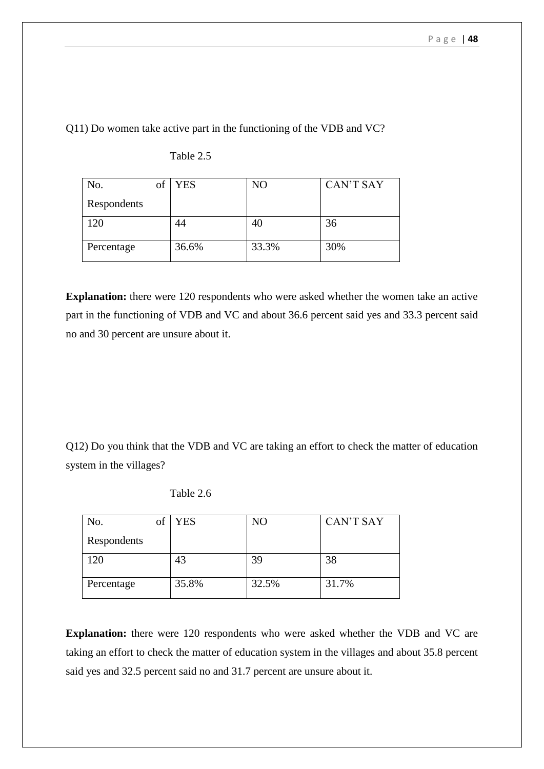Q11) Do women take active part in the functioning of the VDB and VC?

| of<br>No.   | <b>YES</b> | N <sub>O</sub> | <b>CAN'T SAY</b> |
|-------------|------------|----------------|------------------|
| Respondents |            |                |                  |
| 120         | 44         | 40             | 36               |
| Percentage  | 36.6%      | 33.3%          | 30%              |

Table 2.5

**Explanation:** there were 120 respondents who were asked whether the women take an active part in the functioning of VDB and VC and about 36.6 percent said yes and 33.3 percent said no and 30 percent are unsure about it.

Q12) Do you think that the VDB and VC are taking an effort to check the matter of education system in the villages?

| No.<br>Оİ   | <b>YES</b> | NO    | <b>CAN'T SAY</b> |
|-------------|------------|-------|------------------|
| Respondents |            |       |                  |
| 120         | 43         | 39    | 38               |
| Percentage  | 35.8%      | 32.5% | 31.7%            |

Table 2.6

**Explanation:** there were 120 respondents who were asked whether the VDB and VC are taking an effort to check the matter of education system in the villages and about 35.8 percent said yes and 32.5 percent said no and 31.7 percent are unsure about it.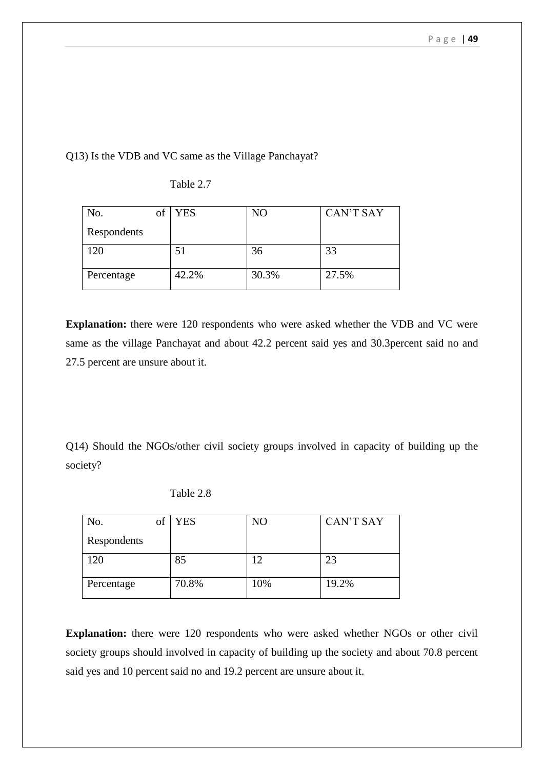Q13) Is the VDB and VC same as the Village Panchayat?

| No.<br>of   | <b>YES</b> | N <sub>O</sub> | <b>CAN'T SAY</b> |
|-------------|------------|----------------|------------------|
| Respondents |            |                |                  |
| 120         | 51         | 36             | 33               |
| Percentage  | 42.2%      | 30.3%          | 27.5%            |

Table 2.7

**Explanation:** there were 120 respondents who were asked whether the VDB and VC were same as the village Panchayat and about 42.2 percent said yes and 30.3percent said no and 27.5 percent are unsure about it.

Q14) Should the NGOs/other civil society groups involved in capacity of building up the society?

Table 2.8

| No.         | Οİ | <b>YES</b> | NO  | <b>CAN'T SAY</b> |
|-------------|----|------------|-----|------------------|
| Respondents |    |            |     |                  |
| 120         |    | 85         |     | 23               |
| Percentage  |    | 70.8%      | 10% | 19.2%            |

**Explanation:** there were 120 respondents who were asked whether NGOs or other civil society groups should involved in capacity of building up the society and about 70.8 percent said yes and 10 percent said no and 19.2 percent are unsure about it.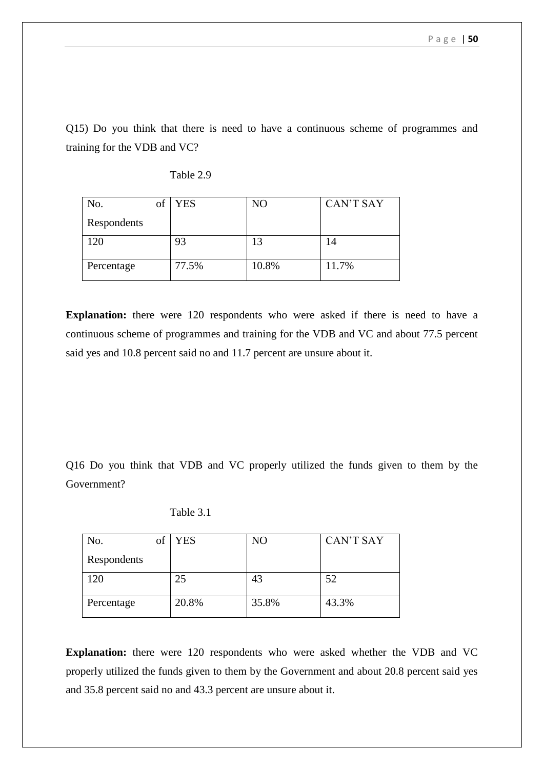Q15) Do you think that there is need to have a continuous scheme of programmes and training for the VDB and VC?

| No.         | of | <b>YES</b> | NO    | <b>CAN'T SAY</b> |
|-------------|----|------------|-------|------------------|
| Respondents |    |            |       |                  |
| 120         |    | 93         | 13    | 14               |
| Percentage  |    | 77.5%      | 10.8% | 11.7%            |

Table 2.9

**Explanation:** there were 120 respondents who were asked if there is need to have a continuous scheme of programmes and training for the VDB and VC and about 77.5 percent said yes and 10.8 percent said no and 11.7 percent are unsure about it.

Q16 Do you think that VDB and VC properly utilized the funds given to them by the Government?

| No.         | of | <b>YES</b> | N <sub>O</sub> | <b>CAN'T SAY</b> |
|-------------|----|------------|----------------|------------------|
| Respondents |    |            |                |                  |
| 120         |    | 25         | 43             | 52               |
| Percentage  |    | 20.8%      | 35.8%          | 43.3%            |

Table 3.1

**Explanation:** there were 120 respondents who were asked whether the VDB and VC properly utilized the funds given to them by the Government and about 20.8 percent said yes and 35.8 percent said no and 43.3 percent are unsure about it.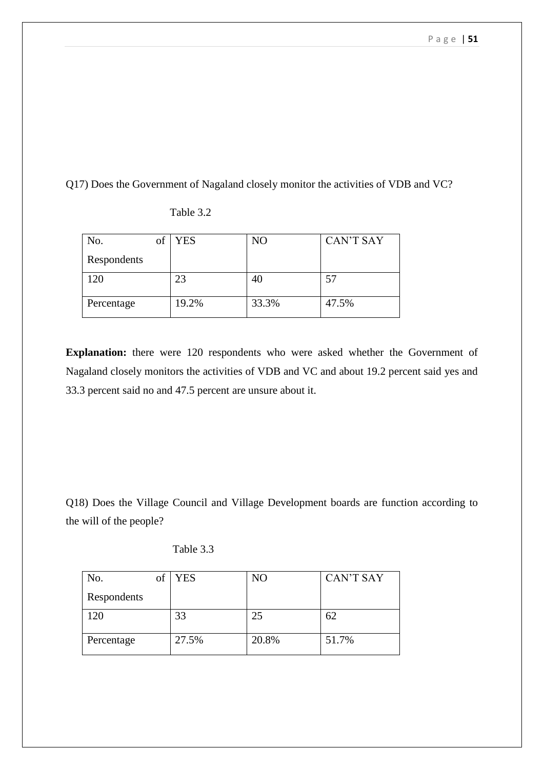Q17) Does the Government of Nagaland closely monitor the activities of VDB and VC?

| of<br>No.   | <b>YES</b> | N <sub>O</sub> | <b>CAN'T SAY</b> |
|-------------|------------|----------------|------------------|
| Respondents |            |                |                  |
| 120         | 23         | 40             | 57               |
| Percentage  | 19.2%      | 33.3%          | 47.5%            |

Table 3.2

**Explanation:** there were 120 respondents who were asked whether the Government of Nagaland closely monitors the activities of VDB and VC and about 19.2 percent said yes and 33.3 percent said no and 47.5 percent are unsure about it.

Q18) Does the Village Council and Village Development boards are function according to the will of the people?

| Table 3.3 |
|-----------|
|           |

| No.         | Οİ | <b>YES</b> | NO    | <b>CAN'T SAY</b> |
|-------------|----|------------|-------|------------------|
| Respondents |    |            |       |                  |
| 120         |    | 33         | 25    | 62               |
| Percentage  |    | 27.5%      | 20.8% | 51.7%            |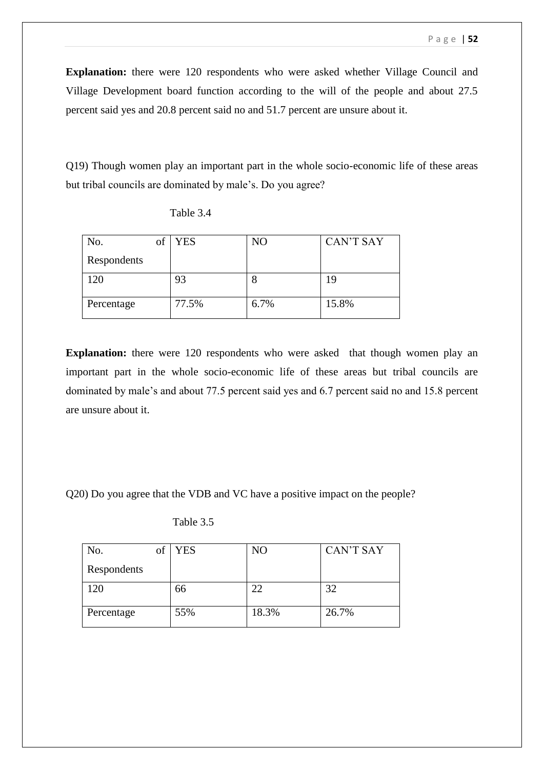**Explanation:** there were 120 respondents who were asked whether Village Council and Village Development board function according to the will of the people and about 27.5 percent said yes and 20.8 percent said no and 51.7 percent are unsure about it.

Q19) Though women play an important part in the whole socio-economic life of these areas but tribal councils are dominated by male's. Do you agree?

| No.<br>Оİ   | <b>YES</b> | N <sub>O</sub> | <b>CAN'T SAY</b> |
|-------------|------------|----------------|------------------|
| Respondents |            |                |                  |
| 120         | 93         | 8              | 19               |
| Percentage  | 77.5%      | 6.7%           | 15.8%            |

**Explanation:** there were 120 respondents who were asked that though women play an important part in the whole socio-economic life of these areas but tribal councils are dominated by male's and about 77.5 percent said yes and 6.7 percent said no and 15.8 percent are unsure about it.

Q20) Do you agree that the VDB and VC have a positive impact on the people?

| No.         | of | <b>YES</b> | NO    | <b>CAN'T SAY</b> |
|-------------|----|------------|-------|------------------|
| Respondents |    |            |       |                  |
| 20          |    | 66         | 22    | 32               |
| Percentage  |    | 55%        | 18.3% | 26.7%            |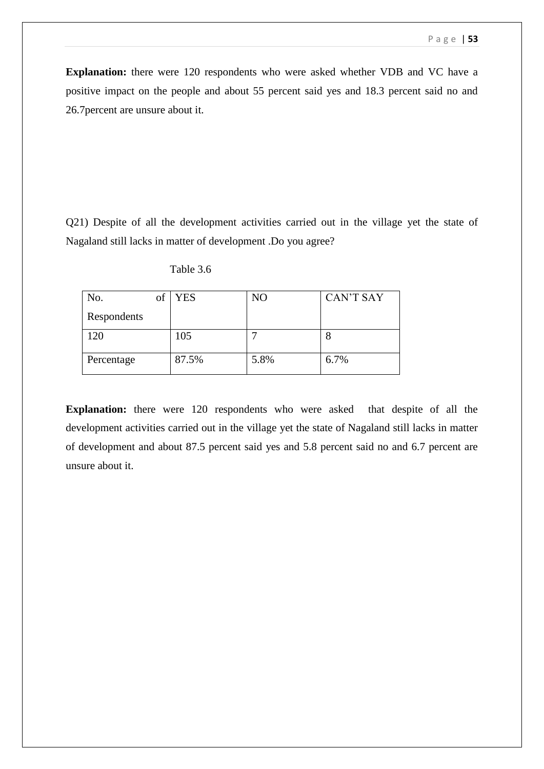**Explanation:** there were 120 respondents who were asked whether VDB and VC have a positive impact on the people and about 55 percent said yes and 18.3 percent said no and 26.7percent are unsure about it.

Q21) Despite of all the development activities carried out in the village yet the state of Nagaland still lacks in matter of development .Do you agree?

| No.         | Οt | <b>YES</b> | NO   | <b>CAN'T SAY</b> |
|-------------|----|------------|------|------------------|
| Respondents |    |            |      |                  |
| 120         |    | 105        |      | O                |
| Percentage  |    | 87.5%      | 5.8% | 6.7%             |

Table 3.6

**Explanation:** there were 120 respondents who were asked that despite of all the development activities carried out in the village yet the state of Nagaland still lacks in matter of development and about 87.5 percent said yes and 5.8 percent said no and 6.7 percent are unsure about it.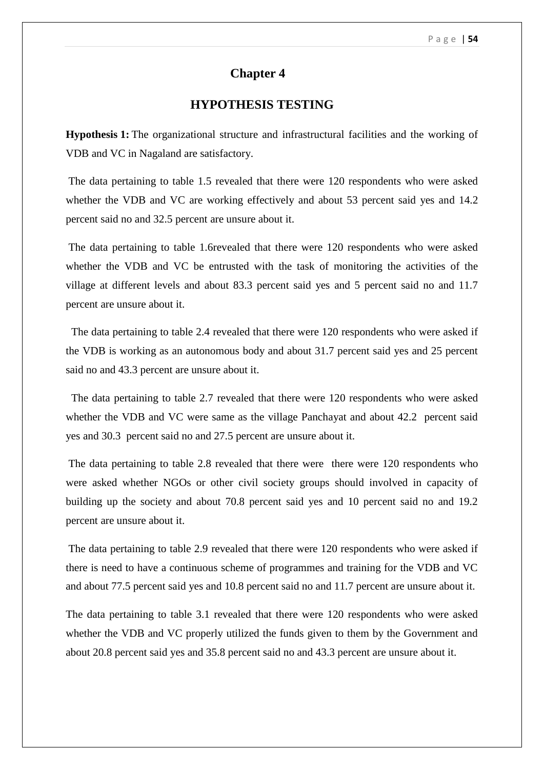## **Chapter 4**

## **HYPOTHESIS TESTING**

**Hypothesis 1:** The organizational structure and infrastructural facilities and the working of VDB and VC in Nagaland are satisfactory.

The data pertaining to table 1.5 revealed that there were 120 respondents who were asked whether the VDB and VC are working effectively and about 53 percent said yes and 14.2 percent said no and 32.5 percent are unsure about it.

The data pertaining to table 1.6revealed that there were 120 respondents who were asked whether the VDB and VC be entrusted with the task of monitoring the activities of the village at different levels and about 83.3 percent said yes and 5 percent said no and 11.7 percent are unsure about it.

 The data pertaining to table 2.4 revealed that there were 120 respondents who were asked if the VDB is working as an autonomous body and about 31.7 percent said yes and 25 percent said no and 43.3 percent are unsure about it.

 The data pertaining to table 2.7 revealed that there were 120 respondents who were asked whether the VDB and VC were same as the village Panchayat and about 42.2 percent said yes and 30.3 percent said no and 27.5 percent are unsure about it.

The data pertaining to table 2.8 revealed that there were there were 120 respondents who were asked whether NGOs or other civil society groups should involved in capacity of building up the society and about 70.8 percent said yes and 10 percent said no and 19.2 percent are unsure about it.

The data pertaining to table 2.9 revealed that there were 120 respondents who were asked if there is need to have a continuous scheme of programmes and training for the VDB and VC and about 77.5 percent said yes and 10.8 percent said no and 11.7 percent are unsure about it.

The data pertaining to table 3.1 revealed that there were 120 respondents who were asked whether the VDB and VC properly utilized the funds given to them by the Government and about 20.8 percent said yes and 35.8 percent said no and 43.3 percent are unsure about it.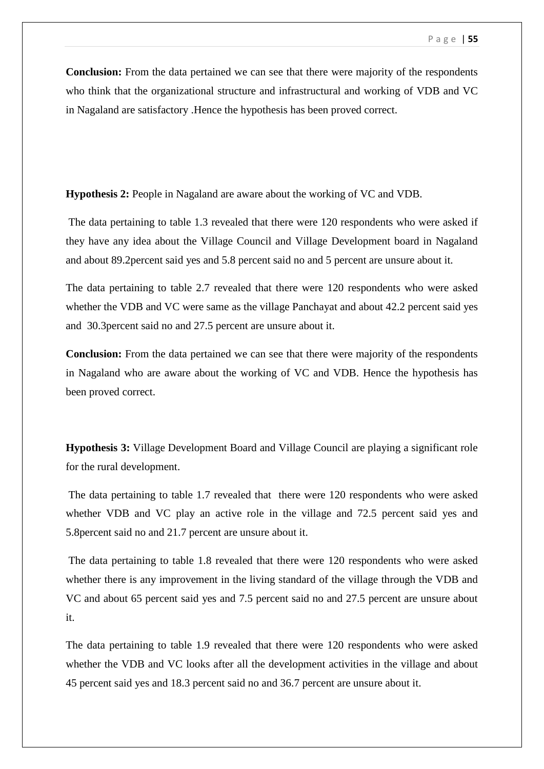**Conclusion:** From the data pertained we can see that there were majority of the respondents who think that the organizational structure and infrastructural and working of VDB and VC in Nagaland are satisfactory .Hence the hypothesis has been proved correct.

**Hypothesis 2:** People in Nagaland are aware about the working of VC and VDB.

The data pertaining to table 1.3 revealed that there were 120 respondents who were asked if they have any idea about the Village Council and Village Development board in Nagaland and about 89.2percent said yes and 5.8 percent said no and 5 percent are unsure about it.

The data pertaining to table 2.7 revealed that there were 120 respondents who were asked whether the VDB and VC were same as the village Panchayat and about 42.2 percent said yes and 30.3percent said no and 27.5 percent are unsure about it.

**Conclusion:** From the data pertained we can see that there were majority of the respondents in Nagaland who are aware about the working of VC and VDB. Hence the hypothesis has been proved correct.

**Hypothesis 3:** Village Development Board and Village Council are playing a significant role for the rural development.

The data pertaining to table 1.7 revealed that there were 120 respondents who were asked whether VDB and VC play an active role in the village and 72.5 percent said yes and 5.8percent said no and 21.7 percent are unsure about it.

The data pertaining to table 1.8 revealed that there were 120 respondents who were asked whether there is any improvement in the living standard of the village through the VDB and VC and about 65 percent said yes and 7.5 percent said no and 27.5 percent are unsure about it.

The data pertaining to table 1.9 revealed that there were 120 respondents who were asked whether the VDB and VC looks after all the development activities in the village and about 45 percent said yes and 18.3 percent said no and 36.7 percent are unsure about it.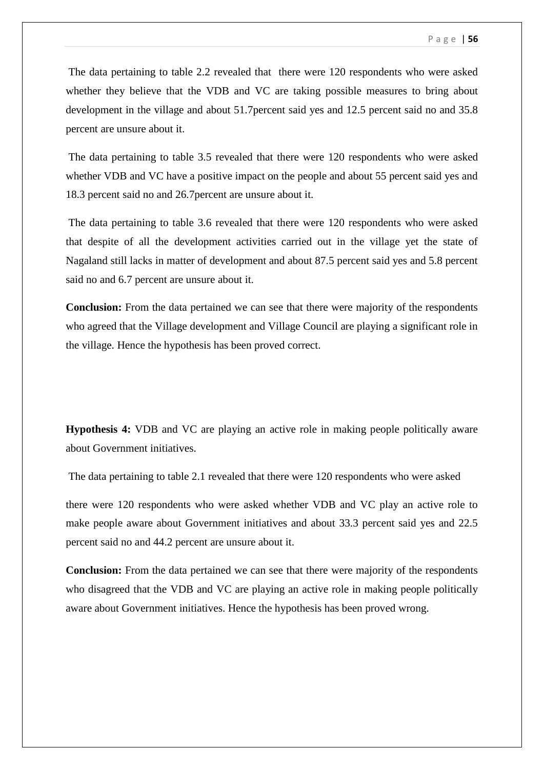The data pertaining to table 2.2 revealed that there were 120 respondents who were asked whether they believe that the VDB and VC are taking possible measures to bring about development in the village and about 51.7percent said yes and 12.5 percent said no and 35.8 percent are unsure about it.

The data pertaining to table 3.5 revealed that there were 120 respondents who were asked whether VDB and VC have a positive impact on the people and about 55 percent said yes and 18.3 percent said no and 26.7percent are unsure about it.

The data pertaining to table 3.6 revealed that there were 120 respondents who were asked that despite of all the development activities carried out in the village yet the state of Nagaland still lacks in matter of development and about 87.5 percent said yes and 5.8 percent said no and 6.7 percent are unsure about it.

**Conclusion:** From the data pertained we can see that there were majority of the respondents who agreed that the Village development and Village Council are playing a significant role in the village. Hence the hypothesis has been proved correct.

**Hypothesis 4:** VDB and VC are playing an active role in making people politically aware about Government initiatives.

The data pertaining to table 2.1 revealed that there were 120 respondents who were asked

there were 120 respondents who were asked whether VDB and VC play an active role to make people aware about Government initiatives and about 33.3 percent said yes and 22.5 percent said no and 44.2 percent are unsure about it.

**Conclusion:** From the data pertained we can see that there were majority of the respondents who disagreed that the VDB and VC are playing an active role in making people politically aware about Government initiatives. Hence the hypothesis has been proved wrong.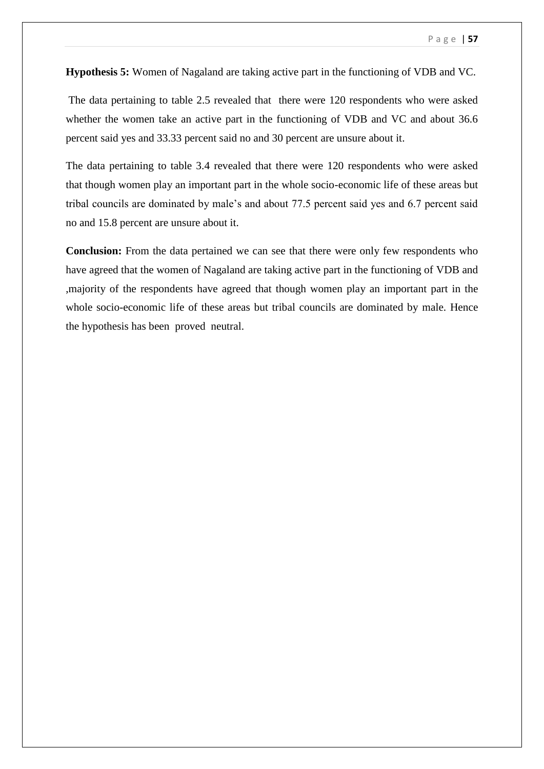**Hypothesis 5:** Women of Nagaland are taking active part in the functioning of VDB and VC.

The data pertaining to table 2.5 revealed that there were 120 respondents who were asked whether the women take an active part in the functioning of VDB and VC and about 36.6 percent said yes and 33.33 percent said no and 30 percent are unsure about it.

The data pertaining to table 3.4 revealed that there were 120 respondents who were asked that though women play an important part in the whole socio-economic life of these areas but tribal councils are dominated by male's and about 77.5 percent said yes and 6.7 percent said no and 15.8 percent are unsure about it.

**Conclusion:** From the data pertained we can see that there were only few respondents who have agreed that the women of Nagaland are taking active part in the functioning of VDB and ,majority of the respondents have agreed that though women play an important part in the whole socio-economic life of these areas but tribal councils are dominated by male. Hence the hypothesis has been proved neutral.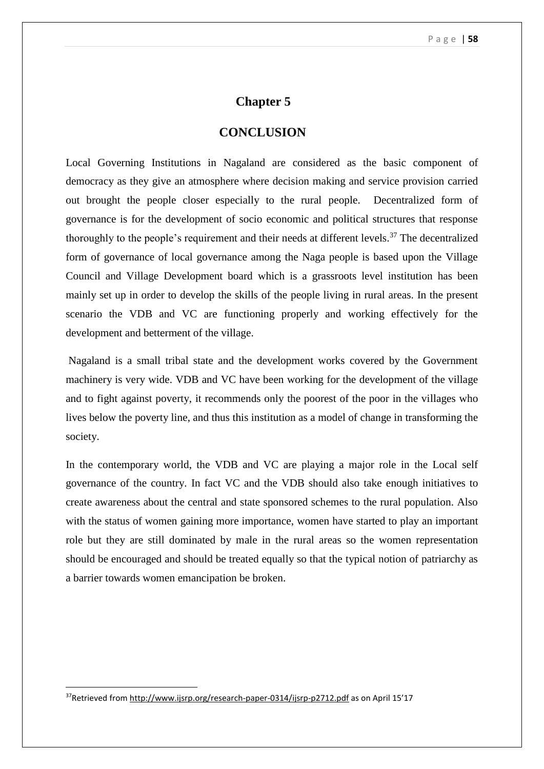## **Chapter 5**

## **CONCLUSION**

Local Governing Institutions in Nagaland are considered as the basic component of democracy as they give an atmosphere where decision making and service provision carried out brought the people closer especially to the rural people. Decentralized form of governance is for the development of socio economic and political structures that response thoroughly to the people's requirement and their needs at different levels.<sup>37</sup> The decentralized form of governance of local governance among the Naga people is based upon the Village Council and Village Development board which is a grassroots level institution has been mainly set up in order to develop the skills of the people living in rural areas. In the present scenario the VDB and VC are functioning properly and working effectively for the development and betterment of the village.

Nagaland is a small tribal state and the development works covered by the Government machinery is very wide. VDB and VC have been working for the development of the village and to fight against poverty, it recommends only the poorest of the poor in the villages who lives below the poverty line, and thus this institution as a model of change in transforming the society.

In the contemporary world, the VDB and VC are playing a major role in the Local self governance of the country. In fact VC and the VDB should also take enough initiatives to create awareness about the central and state sponsored schemes to the rural population. Also with the status of women gaining more importance, women have started to play an important role but they are still dominated by male in the rural areas so the women representation should be encouraged and should be treated equally so that the typical notion of patriarchy as a barrier towards women emancipation be broken.

<sup>&</sup>lt;sup>37</sup>Retrieved from<http://www.ijsrp.org/research-paper-0314/ijsrp-p2712.pdf> as on April 15'17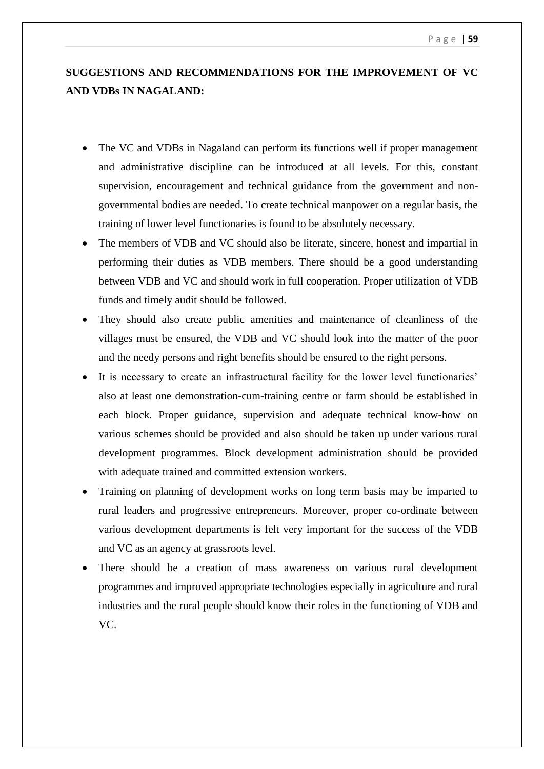# **SUGGESTIONS AND RECOMMENDATIONS FOR THE IMPROVEMENT OF VC AND VDBs IN NAGALAND:**

- The VC and VDBs in Nagaland can perform its functions well if proper management and administrative discipline can be introduced at all levels. For this, constant supervision, encouragement and technical guidance from the government and nongovernmental bodies are needed. To create technical manpower on a regular basis, the training of lower level functionaries is found to be absolutely necessary.
- The members of VDB and VC should also be literate, sincere, honest and impartial in performing their duties as VDB members. There should be a good understanding between VDB and VC and should work in full cooperation. Proper utilization of VDB funds and timely audit should be followed.
- They should also create public amenities and maintenance of cleanliness of the villages must be ensured, the VDB and VC should look into the matter of the poor and the needy persons and right benefits should be ensured to the right persons.
- It is necessary to create an infrastructural facility for the lower level functionaries' also at least one demonstration-cum-training centre or farm should be established in each block. Proper guidance, supervision and adequate technical know-how on various schemes should be provided and also should be taken up under various rural development programmes. Block development administration should be provided with adequate trained and committed extension workers.
- Training on planning of development works on long term basis may be imparted to rural leaders and progressive entrepreneurs. Moreover, proper co-ordinate between various development departments is felt very important for the success of the VDB and VC as an agency at grassroots level.
- There should be a creation of mass awareness on various rural development programmes and improved appropriate technologies especially in agriculture and rural industries and the rural people should know their roles in the functioning of VDB and VC.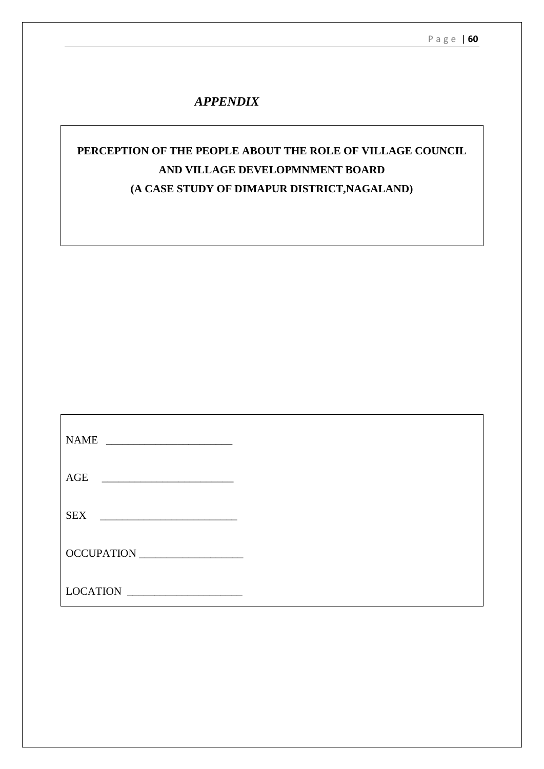# *APPENDIX*

# **PERCEPTION OF THE PEOPLE ABOUT THE ROLE OF VILLAGE COUNCIL AND VILLAGE DEVELOPMNMENT BOARD (A CASE STUDY OF DIMAPUR DISTRICT,NAGALAND)**

| <b>NAME</b><br><u> 1989 - Andrea Brand, amerikansk politik (</u>         |  |
|--------------------------------------------------------------------------|--|
| AGE<br><u> 1980 - Andrea Andrew Amerikaanse kommunister (</u>            |  |
| <b>SEX</b>                                                               |  |
| OCCUPATION                                                               |  |
| <b>LOCATION</b><br><u> 1980 - Jan James James Barnett, prestavlja po</u> |  |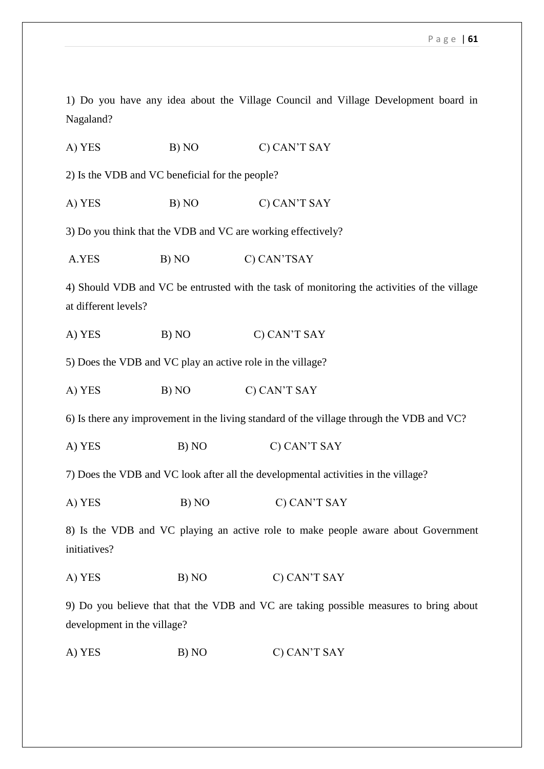1) Do you have any idea about the Village Council and Village Development board in Nagaland?

A) YES B) NO C) CAN'T SAY

2) Is the VDB and VC beneficial for the people?

A) YES B) NO C) CAN'T SAY

3) Do you think that the VDB and VC are working effectively?

A.YES B) NO C) CAN'TSAY

4) Should VDB and VC be entrusted with the task of monitoring the activities of the village at different levels?

A) YES B) NO C) CAN'T SAY

5) Does the VDB and VC play an active role in the village?

A) YES B) NO C) CAN'T SAY

6) Is there any improvement in the living standard of the village through the VDB and VC?

A) YES B) NO C) CAN'T SAY

7) Does the VDB and VC look after all the developmental activities in the village?

A) YES B) NO C) CAN'T SAY

8) Is the VDB and VC playing an active role to make people aware about Government initiatives?

A) YES B) NO C) CAN'T SAY

9) Do you believe that that the VDB and VC are taking possible measures to bring about development in the village?

A) YES B) NO C) CAN'T SAY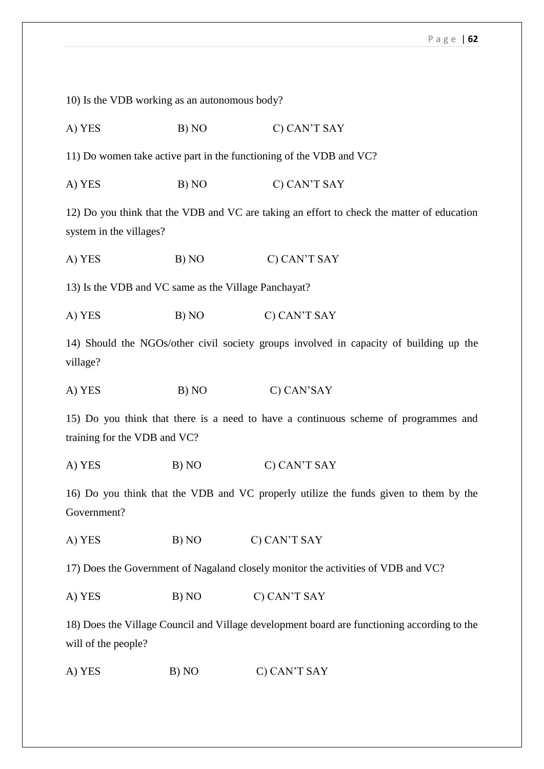10) Is the VDB working as an autonomous body? A) YES B) NO C) CAN'T SAY 11) Do women take active part in the functioning of the VDB and VC? A) YES B) NO C) CAN'T SAY 12) Do you think that the VDB and VC are taking an effort to check the matter of education system in the villages?

A) YES B) NO C) CAN'T SAY

13) Is the VDB and VC same as the Village Panchayat?

A) YES B) NO C) CAN'T SAY

14) Should the NGOs/other civil society groups involved in capacity of building up the village?

A) YES B) NO C) CAN'SAY

15) Do you think that there is a need to have a continuous scheme of programmes and training for the VDB and VC?

A) YES B) NO C) CAN'T SAY

16) Do you think that the VDB and VC properly utilize the funds given to them by the Government?

A) YES B) NO C) CAN'T SAY

17) Does the Government of Nagaland closely monitor the activities of VDB and VC?

A) YES B) NO C) CAN'T SAY

18) Does the Village Council and Village development board are functioning according to the will of the people?

A) YES B) NO C) CAN'T SAY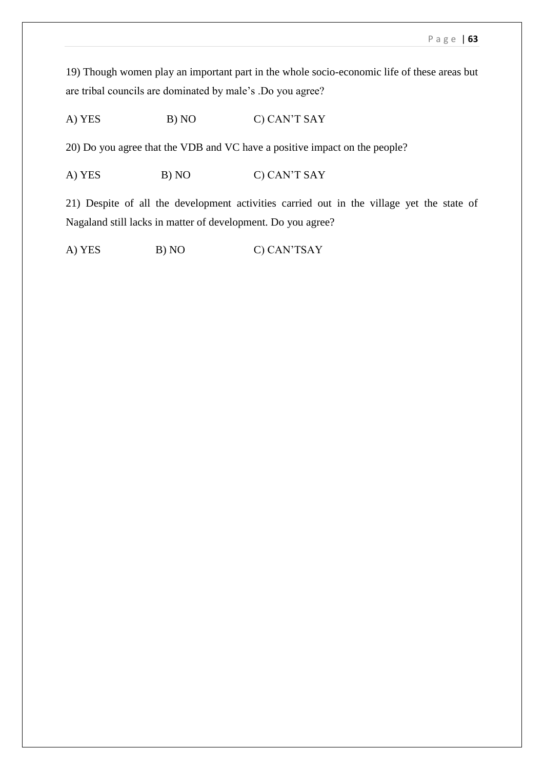19) Though women play an important part in the whole socio-economic life of these areas but are tribal councils are dominated by male's .Do you agree?

A) YES B) NO C) CAN'T SAY

20) Do you agree that the VDB and VC have a positive impact on the people?

A) YES B) NO C) CAN'T SAY

21) Despite of all the development activities carried out in the village yet the state of Nagaland still lacks in matter of development. Do you agree?

A) YES B) NO C) CAN'TSAY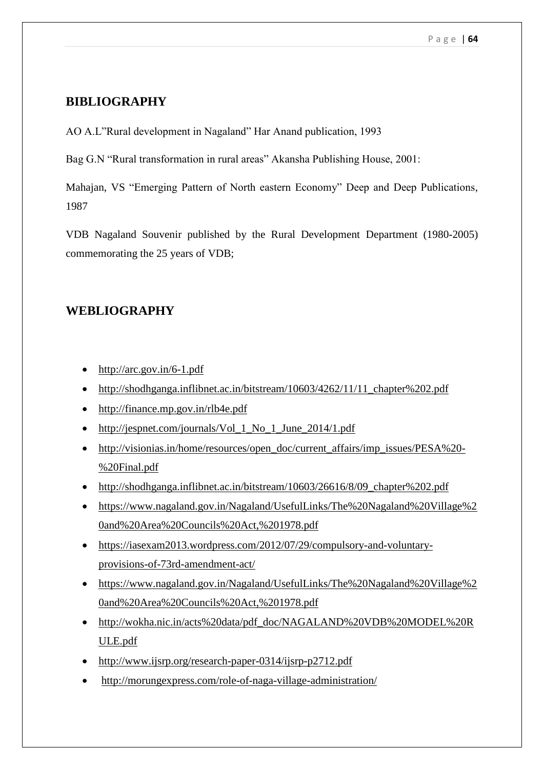# **BIBLIOGRAPHY**

AO A.L"Rural development in Nagaland" Har Anand publication, 1993

Bag G.N "Rural transformation in rural areas" Akansha Publishing House, 2001:

Mahajan, VS "Emerging Pattern of North eastern Economy" Deep and Deep Publications, 1987

VDB Nagaland Souvenir published by the Rural Development Department (1980-2005) commemorating the 25 years of VDB;

# **WEBLIOGRAPHY**

- $\bullet$  <http://arc.gov.in/6-1.pdf>
- [http://shodhganga.inflibnet.ac.in/bitstream/10603/4262/11/11\\_chapter%202.pdf](http://shodhganga.inflibnet.ac.in/bitstream/10603/4262/11/11_chapter%202.pdf)
- <http://finance.mp.gov.in/rlb4e.pdf>
- [http://jespnet.com/journals/Vol\\_1\\_No\\_1\\_June\\_2014/1.pdf](http://jespnet.com/journals/Vol_1_No_1_June_2014/1.pdf)
- [http://visionias.in/home/resources/open\\_doc/current\\_affairs/imp\\_issues/PESA%20-](http://visionias.in/home/resources/open_doc/current_affairs/imp_issues/PESA%20-%20Final.pdf) [%20Final.pdf](http://visionias.in/home/resources/open_doc/current_affairs/imp_issues/PESA%20-%20Final.pdf)
- http://shodhganga.inflibnet.ac.in/bitstream/10603/26616/8/09 chapter%202.pdf
- [https://www.nagaland.gov.in/Nagaland/UsefulLinks/The%20Nagaland%20Village%2](https://www.nagaland.gov.in/Nagaland/UsefulLinks/The%20Nagaland%20Village%20and%20Area%20Councils%20Act,%201978.pdf) [0and%20Area%20Councils%20Act,%201978.pdf](https://www.nagaland.gov.in/Nagaland/UsefulLinks/The%20Nagaland%20Village%20and%20Area%20Councils%20Act,%201978.pdf)
- [https://iasexam2013.wordpress.com/2012/07/29/compulsory-and-voluntary](https://iasexam2013.wordpress.com/2012/07/29/compulsory-and-voluntary-provisions-of-73rd-amendment-act/)[provisions-of-73rd-amendment-act/](https://iasexam2013.wordpress.com/2012/07/29/compulsory-and-voluntary-provisions-of-73rd-amendment-act/)
- [https://www.nagaland.gov.in/Nagaland/UsefulLinks/The%20Nagaland%20Village%2](https://www.nagaland.gov.in/Nagaland/UsefulLinks/The%20Nagaland%20Village%20and%20Area%20Councils%20Act,%201978.pdf) [0and%20Area%20Councils%20Act,%201978.pdf](https://www.nagaland.gov.in/Nagaland/UsefulLinks/The%20Nagaland%20Village%20and%20Area%20Councils%20Act,%201978.pdf)
- [http://wokha.nic.in/acts%20data/pdf\\_doc/NAGALAND%20VDB%20MODEL%20R](http://wokha.nic.in/acts%20data/pdf_doc/NAGALAND%20VDB%20MODEL%20RULE.pdf) [ULE.pdf](http://wokha.nic.in/acts%20data/pdf_doc/NAGALAND%20VDB%20MODEL%20RULE.pdf)
- <http://www.ijsrp.org/research-paper-0314/ijsrp-p2712.pdf>
- <http://morungexpress.com/role-of-naga-village-administration/>